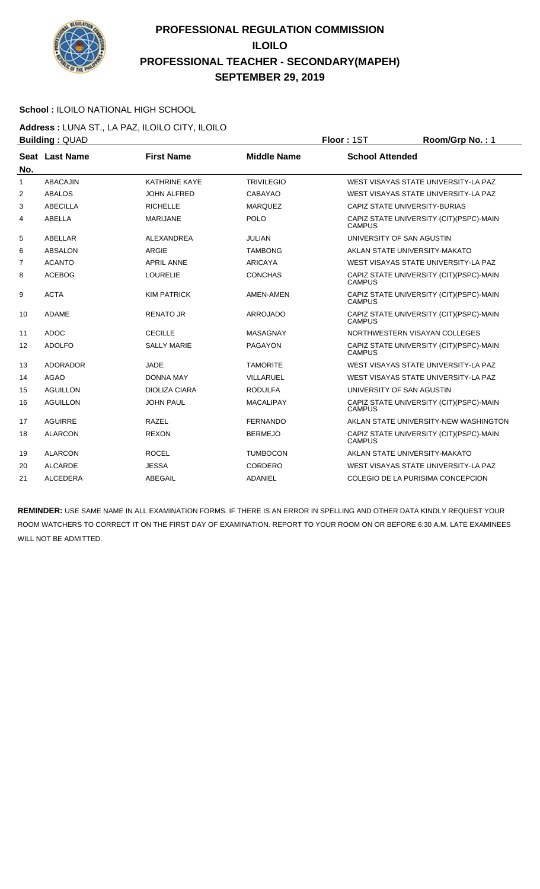

#### **School :** ILOILO NATIONAL HIGH SCHOOL

**Address :** LUNA ST., LA PAZ, ILOILO CITY, ILOILO **Building :** QUAD **Floor :** 1ST **Room/Grp No. :** 1

| No. | Seat Last Name  | <b>First Name</b>    | <b>Middle Name</b> | <b>School Attended</b>                                    |
|-----|-----------------|----------------------|--------------------|-----------------------------------------------------------|
| 1   | <b>ABACAJIN</b> | <b>KATHRINE KAYE</b> | <b>TRIVILEGIO</b>  | WEST VISAYAS STATE UNIVERSITY-LA PAZ                      |
| 2   | <b>ABALOS</b>   | <b>JOHN ALFRED</b>   | <b>CABAYAO</b>     | WEST VISAYAS STATE UNIVERSITY-LA PAZ                      |
| 3   | <b>ABECILLA</b> | <b>RICHELLE</b>      | <b>MARQUEZ</b>     | CAPIZ STATE UNIVERSITY-BURIAS                             |
| 4   | <b>ABELLA</b>   | <b>MARIJANE</b>      | <b>POLO</b>        | CAPIZ STATE UNIVERSITY (CIT)(PSPC)-MAIN<br><b>CAMPUS</b>  |
| 5   | ABELLAR         | <b>ALEXANDREA</b>    | <b>JULIAN</b>      | UNIVERSITY OF SAN AGUSTIN                                 |
| 6   | ABSALON         | <b>ARGIE</b>         | <b>TAMBONG</b>     | AKLAN STATE UNIVERSITY-MAKATO                             |
| 7   | <b>ACANTO</b>   | <b>APRIL ANNE</b>    | <b>ARICAYA</b>     | WEST VISAYAS STATE UNIVERSITY-LA PAZ                      |
| 8   | <b>ACEBOG</b>   | <b>LOURELIE</b>      | <b>CONCHAS</b>     | CAPIZ STATE UNIVERSITY (CIT)(PSPC)-MAIN<br><b>CAMPUS</b>  |
| 9   | <b>ACTA</b>     | <b>KIM PATRICK</b>   | AMEN-AMEN          | CAPIZ STATE UNIVERSITY (CIT)(PSPC)-MAIN<br><b>CAMPUS</b>  |
| 10  | <b>ADAME</b>    | <b>RENATO JR</b>     | <b>ARROJADO</b>    | CAPIZ STATE UNIVERSITY (CIT)(PSPC)-MAIN<br><b>CAMPUS</b>  |
| 11  | <b>ADOC</b>     | <b>CECILLE</b>       | MASAGNAY           | NORTHWESTERN VISAYAN COLLEGES                             |
| 12  | <b>ADOLFO</b>   | <b>SALLY MARIE</b>   | <b>PAGAYON</b>     | CAPIZ STATE UNIVERSITY (CIT)(PSPC)-MAIN<br><b>CAMPUS</b>  |
| 13  | <b>ADORADOR</b> | <b>JADE</b>          | <b>TAMORITE</b>    | WEST VISAYAS STATE UNIVERSITY-LA PAZ                      |
| 14  | <b>AGAO</b>     | <b>DONNA MAY</b>     | VILLARUEL          | WEST VISAYAS STATE UNIVERSITY-LA PAZ                      |
| 15  | <b>AGUILLON</b> | <b>DIOLIZA CIARA</b> | <b>RODULFA</b>     | UNIVERSITY OF SAN AGUSTIN                                 |
| 16  | <b>AGUILLON</b> | <b>JOHN PAUL</b>     | <b>MACALIPAY</b>   | CAPIZ STATE UNIVERSITY (CIT) (PSPC)-MAIN<br><b>CAMPUS</b> |
| 17  | <b>AGUIRRE</b>  | <b>RAZEL</b>         | <b>FERNANDO</b>    | AKLAN STATE UNIVERSITY-NEW WASHINGTON                     |
| 18  | <b>ALARCON</b>  | <b>REXON</b>         | <b>BERMEJO</b>     | CAPIZ STATE UNIVERSITY (CIT) (PSPC)-MAIN<br><b>CAMPUS</b> |
| 19  | <b>ALARCON</b>  | <b>ROCEL</b>         | <b>TUMBOCON</b>    | AKLAN STATE UNIVERSITY-MAKATO                             |
| 20  | <b>ALCARDE</b>  | <b>JESSA</b>         | CORDERO            | WEST VISAYAS STATE UNIVERSITY-LA PAZ                      |
| 21  | <b>ALCEDERA</b> | ABEGAIL              | ADANIEL            | COLEGIO DE LA PURISIMA CONCEPCION                         |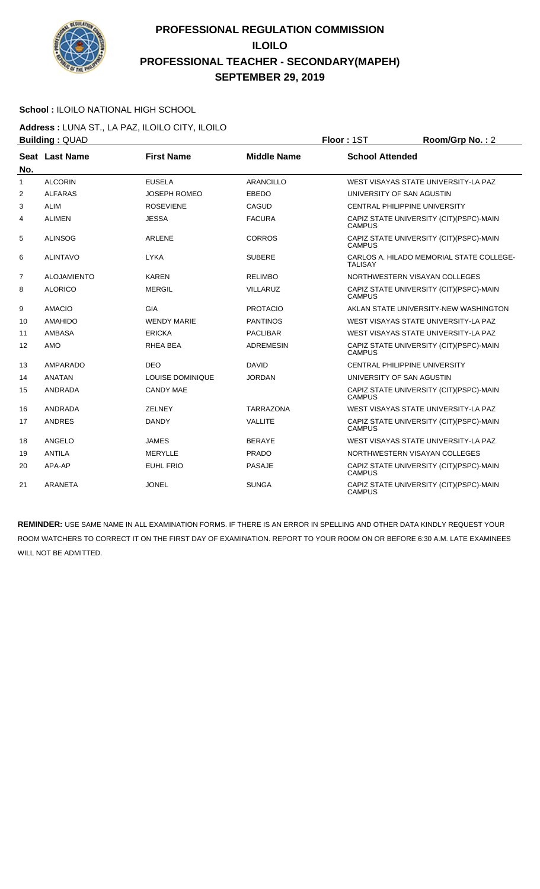

### **School :** ILOILO NATIONAL HIGH SCHOOL

**Address :** LUNA ST., LA PAZ, ILOILO CITY, ILOILO **Building : QUAD Floor : 1ST Room/Grp No. : 2** 

| No. | Seat Last Name     | <b>First Name</b>   | <b>Middle Name</b> | <b>School Attended</b>                                     |
|-----|--------------------|---------------------|--------------------|------------------------------------------------------------|
| 1   | <b>ALCORIN</b>     | <b>EUSELA</b>       | <b>ARANCILLO</b>   | WEST VISAYAS STATE UNIVERSITY-LA PAZ                       |
| 2   | <b>ALFARAS</b>     | <b>JOSEPH ROMEO</b> | EBEDO              | UNIVERSITY OF SAN AGUSTIN                                  |
| 3   | <b>ALIM</b>        | <b>ROSEVIENE</b>    | <b>CAGUD</b>       | <b>CENTRAL PHILIPPINE UNIVERSITY</b>                       |
| 4   | <b>ALIMEN</b>      | <b>JESSA</b>        | <b>FACURA</b>      | CAPIZ STATE UNIVERSITY (CIT) (PSPC)-MAIN<br><b>CAMPUS</b>  |
| 5   | <b>ALINSOG</b>     | <b>ARLENE</b>       | <b>CORROS</b>      | CAPIZ STATE UNIVERSITY (CIT) (PSPC)-MAIN<br><b>CAMPUS</b>  |
| 6   | <b>ALINTAVO</b>    | <b>LYKA</b>         | <b>SUBERE</b>      | CARLOS A. HILADO MEMORIAL STATE COLLEGE-<br><b>TALISAY</b> |
| 7   | <b>ALOJAMIENTO</b> | <b>KAREN</b>        | <b>RELIMBO</b>     | NORTHWESTERN VISAYAN COLLEGES                              |
| 8   | <b>ALORICO</b>     | <b>MERGIL</b>       | <b>VILLARUZ</b>    | CAPIZ STATE UNIVERSITY (CIT)(PSPC)-MAIN<br><b>CAMPUS</b>   |
| 9   | <b>AMACIO</b>      | GIA                 | <b>PROTACIO</b>    | AKLAN STATE UNIVERSITY-NEW WASHINGTON                      |
| 10  | <b>AMAHIDO</b>     | <b>WENDY MARIE</b>  | <b>PANTINOS</b>    | WEST VISAYAS STATE UNIVERSITY-LA PAZ                       |
| 11  | <b>AMBASA</b>      | <b>ERICKA</b>       | <b>PACLIBAR</b>    | WEST VISAYAS STATE UNIVERSITY-LA PAZ                       |
| 12  | AMO                | RHEA BEA            | <b>ADREMESIN</b>   | CAPIZ STATE UNIVERSITY (CIT) (PSPC)-MAIN<br><b>CAMPUS</b>  |
| 13  | <b>AMPARADO</b>    | <b>DEO</b>          | <b>DAVID</b>       | <b>CENTRAL PHILIPPINE UNIVERSITY</b>                       |
| 14  | <b>ANATAN</b>      | LOUISE DOMINIQUE    | <b>JORDAN</b>      | UNIVERSITY OF SAN AGUSTIN                                  |
| 15  | <b>ANDRADA</b>     | <b>CANDY MAE</b>    |                    | CAPIZ STATE UNIVERSITY (CIT)(PSPC)-MAIN<br><b>CAMPUS</b>   |
| 16  | <b>ANDRADA</b>     | <b>ZELNEY</b>       | <b>TARRAZONA</b>   | WEST VISAYAS STATE UNIVERSITY-LA PAZ                       |
| 17  | <b>ANDRES</b>      | <b>DANDY</b>        | <b>VALLITE</b>     | CAPIZ STATE UNIVERSITY (CIT)(PSPC)-MAIN<br><b>CAMPUS</b>   |
| 18  | ANGELO             | <b>JAMES</b>        | <b>BERAYE</b>      | WEST VISAYAS STATE UNIVERSITY-LA PAZ                       |
| 19  | <b>ANTILA</b>      | <b>MERYLLE</b>      | <b>PRADO</b>       | NORTHWESTERN VISAYAN COLLEGES                              |
| 20  | APA-AP             | <b>EUHL FRIO</b>    | <b>PASAJE</b>      | CAPIZ STATE UNIVERSITY (CIT) (PSPC)-MAIN<br><b>CAMPUS</b>  |
| 21  | <b>ARANETA</b>     | <b>JONEL</b>        | <b>SUNGA</b>       | CAPIZ STATE UNIVERSITY (CIT) (PSPC)-MAIN<br><b>CAMPUS</b>  |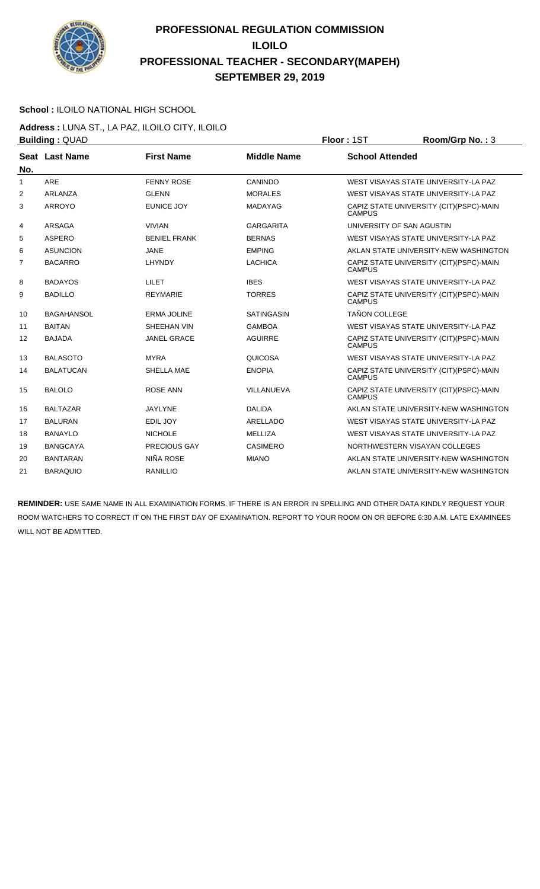

### **School :** ILOILO NATIONAL HIGH SCHOOL

**Address :** LUNA ST., LA PAZ, ILOILO CITY, ILOILO **Building : QUAD Floor : 1ST Room/Grp No. : 3** 

| No.            | Seat Last Name    | <b>First Name</b>   | <b>Middle Name</b> | <b>School Attended</b>                                    |
|----------------|-------------------|---------------------|--------------------|-----------------------------------------------------------|
| $\mathbf{1}$   | ARE               | <b>FENNY ROSE</b>   | CANINDO            | WEST VISAYAS STATE UNIVERSITY-LA PAZ                      |
| 2              | ARLANZA           | <b>GLENN</b>        | <b>MORALES</b>     | WEST VISAYAS STATE UNIVERSITY-LA PAZ                      |
| 3              | <b>ARROYO</b>     | <b>EUNICE JOY</b>   | <b>MADAYAG</b>     | CAPIZ STATE UNIVERSITY (CIT)(PSPC)-MAIN<br><b>CAMPUS</b>  |
| 4              | ARSAGA            | <b>VIVIAN</b>       | <b>GARGARITA</b>   | UNIVERSITY OF SAN AGUSTIN                                 |
| 5              | <b>ASPERO</b>     | <b>BENIEL FRANK</b> | <b>BERNAS</b>      | WEST VISAYAS STATE UNIVERSITY-LA PAZ                      |
| 6              | <b>ASUNCION</b>   | <b>JANE</b>         | <b>EMPING</b>      | AKLAN STATE UNIVERSITY-NEW WASHINGTON                     |
| $\overline{7}$ | <b>BACARRO</b>    | LHYNDY              | <b>LACHICA</b>     | CAPIZ STATE UNIVERSITY (CIT) (PSPC)-MAIN<br><b>CAMPUS</b> |
| 8              | <b>BADAYOS</b>    | <b>LILET</b>        | <b>IBES</b>        | WEST VISAYAS STATE UNIVERSITY-LA PAZ                      |
| 9              | <b>BADILLO</b>    | <b>REYMARIE</b>     | <b>TORRES</b>      | CAPIZ STATE UNIVERSITY (CIT) (PSPC)-MAIN<br><b>CAMPUS</b> |
| 10             | <b>BAGAHANSOL</b> | <b>ERMA JOLINE</b>  | <b>SATINGASIN</b>  | <b>TAÑON COLLEGE</b>                                      |
| 11             | <b>BAITAN</b>     | SHEEHAN VIN         | <b>GAMBOA</b>      | WEST VISAYAS STATE UNIVERSITY-LA PAZ                      |
| 12             | <b>BAJADA</b>     | <b>JANEL GRACE</b>  | <b>AGUIRRE</b>     | CAPIZ STATE UNIVERSITY (CIT)(PSPC)-MAIN<br><b>CAMPUS</b>  |
| 13             | <b>BALASOTO</b>   | <b>MYRA</b>         | <b>QUICOSA</b>     | WEST VISAYAS STATE UNIVERSITY-LA PAZ                      |
| 14             | <b>BALATUCAN</b>  | SHELLA MAE          | <b>ENOPIA</b>      | CAPIZ STATE UNIVERSITY (CIT) (PSPC)-MAIN<br><b>CAMPUS</b> |
| 15             | <b>BALOLO</b>     | <b>ROSE ANN</b>     | VILLANUEVA         | CAPIZ STATE UNIVERSITY (CIT)(PSPC)-MAIN<br><b>CAMPUS</b>  |
| 16             | <b>BALTAZAR</b>   | <b>JAYLYNE</b>      | <b>DALIDA</b>      | AKLAN STATE UNIVERSITY-NEW WASHINGTON                     |
| 17             | <b>BALURAN</b>    | EDIL JOY            | ARELLADO           | WEST VISAYAS STATE UNIVERSITY-LA PAZ                      |
| 18             | <b>BANAYLO</b>    | <b>NICHOLE</b>      | <b>MELLIZA</b>     | WEST VISAYAS STATE UNIVERSITY-LA PAZ                      |
| 19             | <b>BANGCAYA</b>   | <b>PRECIOUS GAY</b> | <b>CASIMERO</b>    | NORTHWESTERN VISAYAN COLLEGES                             |
| 20             | <b>BANTARAN</b>   | NIÑA ROSE           | <b>MIANO</b>       | AKLAN STATE UNIVERSITY-NEW WASHINGTON                     |
| 21             | <b>BARAQUIO</b>   | RANILLIO            |                    | AKLAN STATE UNIVERSITY-NEW WASHINGTON                     |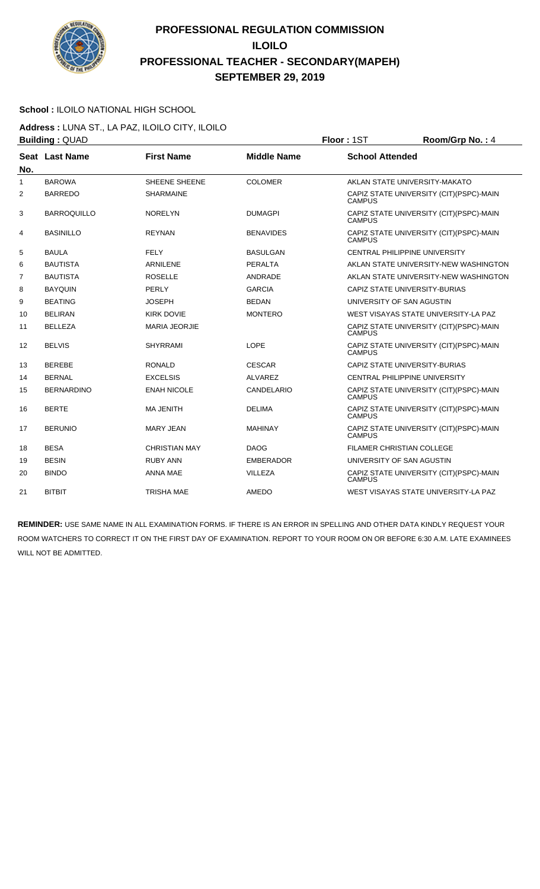

#### **School :** ILOILO NATIONAL HIGH SCHOOL

**Address :** LUNA ST., LA PAZ, ILOILO CITY, ILOILO **Building : QUAD Floor : 1ST Room/Grp No. : 4** 

| No.            | Seat Last Name     | <b>First Name</b>    | <b>Middle Name</b> | <b>School Attended</b>                                    |
|----------------|--------------------|----------------------|--------------------|-----------------------------------------------------------|
| $\mathbf{1}$   | <b>BAROWA</b>      | SHEENE SHEENE        | <b>COLOMER</b>     | AKLAN STATE UNIVERSITY-MAKATO                             |
| $\overline{2}$ | <b>BARREDO</b>     | <b>SHARMAINE</b>     |                    | CAPIZ STATE UNIVERSITY (CIT)(PSPC)-MAIN<br><b>CAMPUS</b>  |
| 3              | <b>BARROQUILLO</b> | <b>NORELYN</b>       | <b>DUMAGPI</b>     | CAPIZ STATE UNIVERSITY (CIT)(PSPC)-MAIN<br><b>CAMPUS</b>  |
| 4              | <b>BASINILLO</b>   | <b>REYNAN</b>        | <b>BENAVIDES</b>   | CAPIZ STATE UNIVERSITY (CIT) (PSPC)-MAIN<br><b>CAMPUS</b> |
| 5              | <b>BAULA</b>       | <b>FELY</b>          | <b>BASULGAN</b>    | <b>CENTRAL PHILIPPINE UNIVERSITY</b>                      |
| 6              | <b>BAUTISTA</b>    | <b>ARNILENE</b>      | <b>PERALTA</b>     | AKLAN STATE UNIVERSITY-NEW WASHINGTON                     |
| 7              | <b>BAUTISTA</b>    | <b>ROSELLE</b>       | ANDRADE            | AKLAN STATE UNIVERSITY-NEW WASHINGTON                     |
| 8              | <b>BAYOUIN</b>     | PERLY                | <b>GARCIA</b>      | CAPIZ STATE UNIVERSITY-BURIAS                             |
| 9              | <b>BEATING</b>     | <b>JOSEPH</b>        | <b>BEDAN</b>       | UNIVERSITY OF SAN AGUSTIN                                 |
| 10             | <b>BELIRAN</b>     | <b>KIRK DOVIE</b>    | <b>MONTERO</b>     | WEST VISAYAS STATE UNIVERSITY-LA PAZ                      |
| 11             | <b>BELLEZA</b>     | <b>MARIA JEORJIE</b> |                    | CAPIZ STATE UNIVERSITY (CIT) (PSPC)-MAIN<br><b>CAMPUS</b> |
| 12             | <b>BELVIS</b>      | <b>SHYRRAMI</b>      | LOPE               | CAPIZ STATE UNIVERSITY (CIT) (PSPC)-MAIN<br><b>CAMPUS</b> |
| 13             | <b>BEREBE</b>      | <b>RONALD</b>        | <b>CESCAR</b>      | CAPIZ STATE UNIVERSITY-BURIAS                             |
| 14             | <b>BERNAL</b>      | <b>EXCELSIS</b>      | <b>ALVAREZ</b>     | <b>CENTRAL PHILIPPINE UNIVERSITY</b>                      |
| 15             | <b>BERNARDINO</b>  | <b>ENAH NICOLE</b>   | <b>CANDELARIO</b>  | CAPIZ STATE UNIVERSITY (CIT) (PSPC)-MAIN<br><b>CAMPUS</b> |
| 16             | <b>BERTE</b>       | <b>MA JENITH</b>     | <b>DELIMA</b>      | CAPIZ STATE UNIVERSITY (CIT) (PSPC)-MAIN<br><b>CAMPUS</b> |
| 17             | <b>BERUNIO</b>     | <b>MARY JEAN</b>     | <b>MAHINAY</b>     | CAPIZ STATE UNIVERSITY (CIT) (PSPC)-MAIN<br><b>CAMPUS</b> |
| 18             | <b>BESA</b>        | <b>CHRISTIAN MAY</b> | <b>DAOG</b>        | FILAMER CHRISTIAN COLLEGE                                 |
| 19             | <b>BESIN</b>       | <b>RUBY ANN</b>      | <b>EMBERADOR</b>   | UNIVERSITY OF SAN AGUSTIN                                 |
| 20             | <b>BINDO</b>       | <b>ANNA MAE</b>      | <b>VILLEZA</b>     | CAPIZ STATE UNIVERSITY (CIT)(PSPC)-MAIN<br><b>CAMPUS</b>  |
| 21             | <b>BITBIT</b>      | <b>TRISHA MAE</b>    | AMEDO              | WEST VISAYAS STATE UNIVERSITY-LA PAZ                      |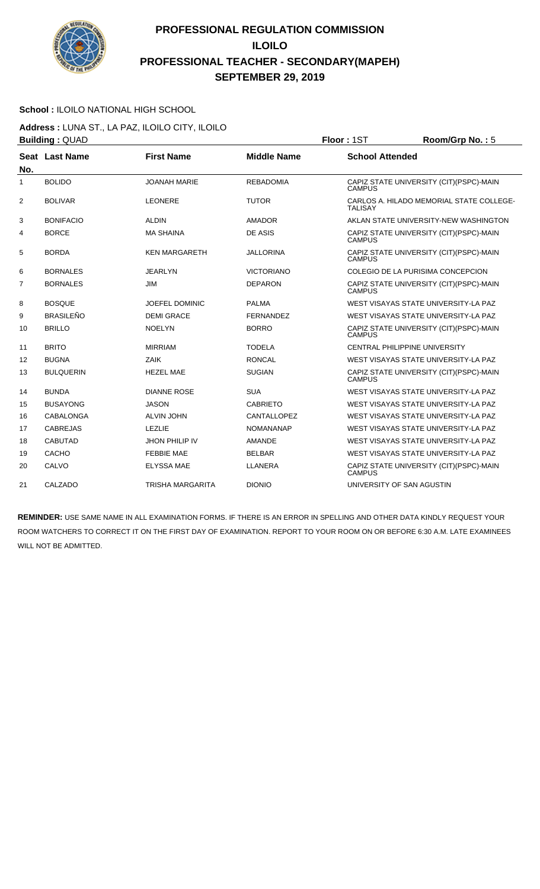

### **School :** ILOILO NATIONAL HIGH SCHOOL

**Address :** LUNA ST., LA PAZ, ILOILO CITY, ILOILO **Building : QUAD Floor : 1ST Room/Grp No. : 5** 

| No.            | Seat Last Name   | <b>First Name</b>     | <b>Middle Name</b> | <b>School Attended</b>                                     |
|----------------|------------------|-----------------------|--------------------|------------------------------------------------------------|
| 1              | <b>BOLIDO</b>    | <b>JOANAH MARIE</b>   | <b>REBADOMIA</b>   | CAPIZ STATE UNIVERSITY (CIT)(PSPC)-MAIN<br><b>CAMPUS</b>   |
| 2              | <b>BOLIVAR</b>   | <b>LEONERE</b>        | <b>TUTOR</b>       | CARLOS A. HILADO MEMORIAL STATE COLLEGE-<br><b>TALISAY</b> |
| 3              | <b>BONIFACIO</b> | <b>ALDIN</b>          | <b>AMADOR</b>      | AKLAN STATE UNIVERSITY-NEW WASHINGTON                      |
| 4              | <b>BORCE</b>     | <b>MA SHAINA</b>      | DE ASIS            | CAPIZ STATE UNIVERSITY (CIT) (PSPC)-MAIN<br><b>CAMPUS</b>  |
| 5              | <b>BORDA</b>     | <b>KEN MARGARETH</b>  | <b>JALLORINA</b>   | CAPIZ STATE UNIVERSITY (CIT) (PSPC)-MAIN<br><b>CAMPUS</b>  |
| 6              | <b>BORNALES</b>  | <b>JEARLYN</b>        | <b>VICTORIANO</b>  | COLEGIO DE LA PURISIMA CONCEPCION                          |
| $\overline{7}$ | <b>BORNALES</b>  | <b>JIM</b>            | <b>DEPARON</b>     | CAPIZ STATE UNIVERSITY (CIT)(PSPC)-MAIN<br><b>CAMPUS</b>   |
| 8              | <b>BOSQUE</b>    | <b>JOEFEL DOMINIC</b> | <b>PALMA</b>       | WEST VISAYAS STATE UNIVERSITY-LA PAZ                       |
| 9              | <b>BRASILEÑO</b> | <b>DEMI GRACE</b>     | FERNANDEZ          | WEST VISAYAS STATE UNIVERSITY-LA PAZ                       |
| 10             | <b>BRILLO</b>    | <b>NOELYN</b>         | <b>BORRO</b>       | CAPIZ STATE UNIVERSITY (CIT) (PSPC)-MAIN<br><b>CAMPUS</b>  |
| 11             | <b>BRITO</b>     | <b>MIRRIAM</b>        | <b>TODELA</b>      | CENTRAL PHILIPPINE UNIVERSITY                              |
| 12             | <b>BUGNA</b>     | ZAIK                  | <b>RONCAL</b>      | WEST VISAYAS STATE UNIVERSITY-LA PAZ                       |
| 13             | <b>BULQUERIN</b> | <b>HEZEL MAE</b>      | <b>SUGIAN</b>      | CAPIZ STATE UNIVERSITY (CIT) (PSPC)-MAIN<br><b>CAMPUS</b>  |
| 14             | <b>BUNDA</b>     | <b>DIANNE ROSE</b>    | <b>SUA</b>         | WEST VISAYAS STATE UNIVERSITY-LA PAZ                       |
| 15             | <b>BUSAYONG</b>  | <b>JASON</b>          | <b>CABRIETO</b>    | WEST VISAYAS STATE UNIVERSITY-LA PAZ                       |
| 16             | CABALONGA        | <b>ALVIN JOHN</b>     | CANTALLOPEZ        | WEST VISAYAS STATE UNIVERSITY-LA PAZ                       |
| 17             | <b>CABREJAS</b>  | <b>LEZLIE</b>         | <b>NOMANANAP</b>   | WEST VISAYAS STATE UNIVERSITY-LA PAZ                       |
| 18             | <b>CABUTAD</b>   | <b>JHON PHILIP IV</b> | <b>AMANDE</b>      | WEST VISAYAS STATE UNIVERSITY-LA PAZ                       |
| 19             | CACHO            | <b>FEBBIE MAE</b>     | <b>BELBAR</b>      | WEST VISAYAS STATE UNIVERSITY-LA PAZ                       |
| 20             | CALVO            | <b>ELYSSA MAE</b>     | LLANERA            | CAPIZ STATE UNIVERSITY (CIT) (PSPC)-MAIN<br><b>CAMPUS</b>  |
| 21             | CALZADO          | TRISHA MARGARITA      | <b>DIONIO</b>      | UNIVERSITY OF SAN AGUSTIN                                  |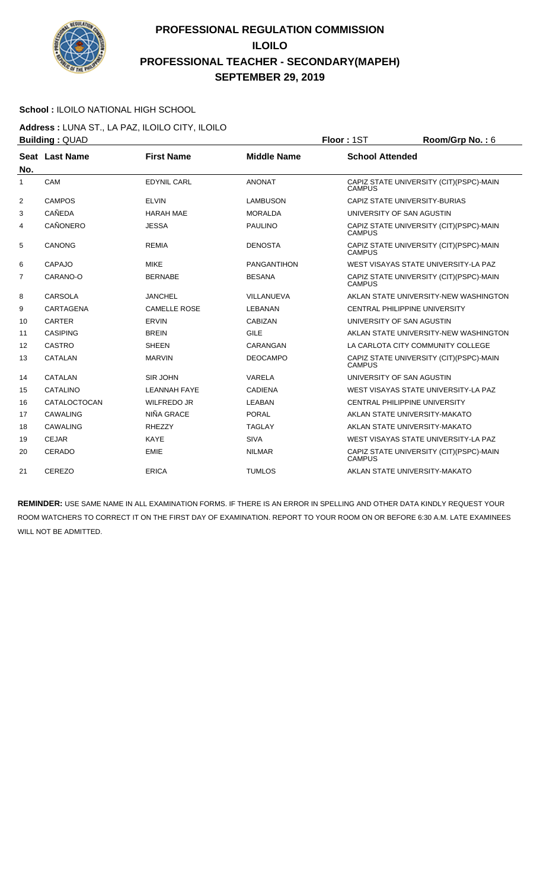

### **School :** ILOILO NATIONAL HIGH SCHOOL

**Address :** LUNA ST., LA PAZ, ILOILO CITY, ILOILO **Building : QUAD Floor : 1ST Room/Grp No. : 6** 

| No.            | Seat Last Name  | <b>First Name</b>   | <b>Middle Name</b> | <b>School Attended</b>                                    |
|----------------|-----------------|---------------------|--------------------|-----------------------------------------------------------|
| 1              | CAM             | <b>EDYNIL CARL</b>  | <b>ANONAT</b>      | CAPIZ STATE UNIVERSITY (CIT)(PSPC)-MAIN<br><b>CAMPUS</b>  |
| 2              | <b>CAMPOS</b>   | <b>ELVIN</b>        | <b>LAMBUSON</b>    | CAPIZ STATE UNIVERSITY-BURIAS                             |
| 3              | <b>CAÑEDA</b>   | <b>HARAH MAE</b>    | <b>MORALDA</b>     | UNIVERSITY OF SAN AGUSTIN                                 |
| 4              | <b>CAÑONERO</b> | <b>JESSA</b>        | <b>PAULINO</b>     | CAPIZ STATE UNIVERSITY (CIT) (PSPC)-MAIN<br><b>CAMPUS</b> |
| 5              | <b>CANONG</b>   | <b>REMIA</b>        | <b>DENOSTA</b>     | CAPIZ STATE UNIVERSITY (CIT) (PSPC)-MAIN<br><b>CAMPUS</b> |
| 6              | CAPAJO          | <b>MIKE</b>         | PANGANTIHON        | WEST VISAYAS STATE UNIVERSITY-LA PAZ                      |
| $\overline{7}$ | CARANO-O        | <b>BERNABE</b>      | <b>BESANA</b>      | CAPIZ STATE UNIVERSITY (CIT) (PSPC)-MAIN<br><b>CAMPUS</b> |
| 8              | <b>CARSOLA</b>  | <b>JANCHEL</b>      | VILLANUEVA         | AKLAN STATE UNIVERSITY-NEW WASHINGTON                     |
| 9              | CARTAGENA       | <b>CAMELLE ROSE</b> | <b>LEBANAN</b>     | <b>CENTRAL PHILIPPINE UNIVERSITY</b>                      |
| 10             | <b>CARTER</b>   | <b>ERVIN</b>        | <b>CABIZAN</b>     | UNIVERSITY OF SAN AGUSTIN                                 |
| 11             | <b>CASIPING</b> | <b>BREIN</b>        | <b>GILE</b>        | AKLAN STATE UNIVERSITY-NEW WASHINGTON                     |
| 12             | CASTRO          | <b>SHEEN</b>        | CARANGAN           | LA CARLOTA CITY COMMUNITY COLLEGE                         |
| 13             | <b>CATALAN</b>  | <b>MARVIN</b>       | <b>DEOCAMPO</b>    | CAPIZ STATE UNIVERSITY (CIT)(PSPC)-MAIN<br><b>CAMPUS</b>  |
| 14             | <b>CATALAN</b>  | SIR JOHN            | VARELA             | UNIVERSITY OF SAN AGUSTIN                                 |
| 15             | <b>CATALINO</b> | <b>LEANNAH FAYE</b> | <b>CADIENA</b>     | WEST VISAYAS STATE UNIVERSITY-LA PAZ                      |
| 16             | CATALOCTOCAN    | <b>WILFREDO JR</b>  | LEABAN             | CENTRAL PHILIPPINE UNIVERSITY                             |
| 17             | CAWALING        | NIÑA GRACE          | PORAL              | AKLAN STATE UNIVERSITY-MAKATO                             |
| 18             | <b>CAWALING</b> | <b>RHEZZY</b>       | <b>TAGLAY</b>      | AKLAN STATE UNIVERSITY-MAKATO                             |
| 19             | <b>CEJAR</b>    | <b>KAYE</b>         | <b>SIVA</b>        | WEST VISAYAS STATE UNIVERSITY-LA PAZ                      |
| 20             | <b>CERADO</b>   | <b>EMIE</b>         | <b>NILMAR</b>      | CAPIZ STATE UNIVERSITY (CIT)(PSPC)-MAIN<br><b>CAMPUS</b>  |
| 21             | CEREZO          | <b>ERICA</b>        | <b>TUMLOS</b>      | AKLAN STATE UNIVERSITY-MAKATO                             |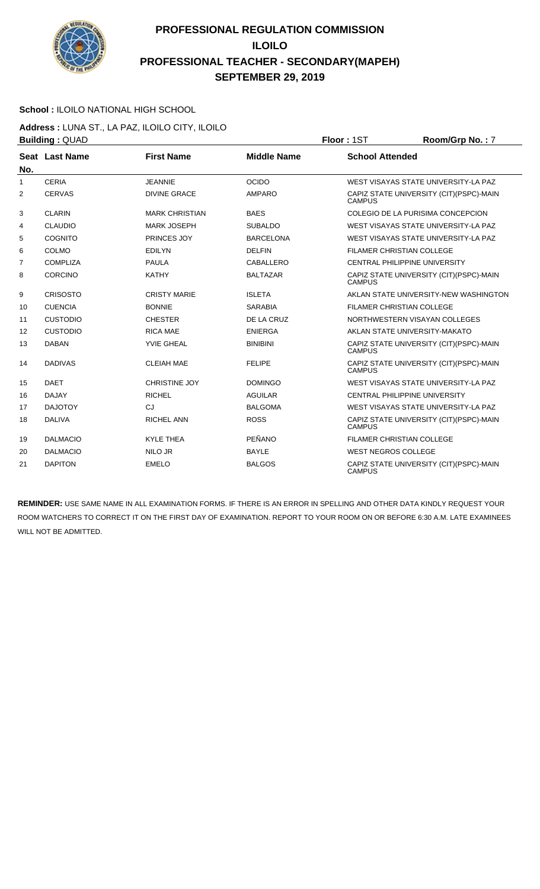

### **School :** ILOILO NATIONAL HIGH SCHOOL

**Address :** LUNA ST., LA PAZ, ILOILO CITY, ILOILO **Building : QUAD <b>Floor : 1ST Room/Grp No. : 7** 

| No.            | Seat Last Name  | <b>First Name</b>     | <b>Middle Name</b> | <b>School Attended</b>                                    |
|----------------|-----------------|-----------------------|--------------------|-----------------------------------------------------------|
| 1              | <b>CERIA</b>    | <b>JEANNIE</b>        | <b>OCIDO</b>       | WEST VISAYAS STATE UNIVERSITY-LA PAZ                      |
| $\overline{2}$ | <b>CERVAS</b>   | <b>DIVINE GRACE</b>   | AMPARO             | CAPIZ STATE UNIVERSITY (CIT) (PSPC)-MAIN<br><b>CAMPUS</b> |
| 3              | <b>CLARIN</b>   | <b>MARK CHRISTIAN</b> | <b>BAES</b>        | COLEGIO DE LA PURISIMA CONCEPCION                         |
| 4              | <b>CLAUDIO</b>  | <b>MARK JOSEPH</b>    | <b>SUBALDO</b>     | WEST VISAYAS STATE UNIVERSITY-LA PAZ                      |
| 5              | <b>COGNITO</b>  | PRINCES JOY           | <b>BARCELONA</b>   | WEST VISAYAS STATE UNIVERSITY-LA PAZ                      |
| 6              | <b>COLMO</b>    | <b>EDILYN</b>         | <b>DELFIN</b>      | <b>FILAMER CHRISTIAN COLLEGE</b>                          |
| $\overline{7}$ | <b>COMPLIZA</b> | <b>PAULA</b>          | CABALLERO          | CENTRAL PHILIPPINE UNIVERSITY                             |
| 8              | <b>CORCINO</b>  | <b>KATHY</b>          | <b>BALTAZAR</b>    | CAPIZ STATE UNIVERSITY (CIT)(PSPC)-MAIN<br><b>CAMPUS</b>  |
| 9              | <b>CRISOSTO</b> | <b>CRISTY MARIE</b>   | <b>ISLETA</b>      | AKLAN STATE UNIVERSITY-NEW WASHINGTON                     |
| 10             | <b>CUENCIA</b>  | <b>BONNIE</b>         | <b>SARABIA</b>     | <b>FILAMER CHRISTIAN COLLEGE</b>                          |
| 11             | <b>CUSTODIO</b> | <b>CHESTER</b>        | DE LA CRUZ         | NORTHWESTERN VISAYAN COLLEGES                             |
| 12             | <b>CUSTODIO</b> | <b>RICA MAE</b>       | <b>ENIERGA</b>     | AKLAN STATE UNIVERSITY-MAKATO                             |
| 13             | <b>DABAN</b>    | <b>YVIE GHEAL</b>     | <b>BINIBINI</b>    | CAPIZ STATE UNIVERSITY (CIT)(PSPC)-MAIN<br><b>CAMPUS</b>  |
| 14             | <b>DADIVAS</b>  | <b>CLEIAH MAE</b>     | <b>FELIPE</b>      | CAPIZ STATE UNIVERSITY (CIT) (PSPC)-MAIN<br><b>CAMPUS</b> |
| 15             | <b>DAET</b>     | <b>CHRISTINE JOY</b>  | <b>DOMINGO</b>     | WEST VISAYAS STATE UNIVERSITY-LA PAZ                      |
| 16             | <b>DAJAY</b>    | <b>RICHEL</b>         | <b>AGUILAR</b>     | CENTRAL PHILIPPINE UNIVERSITY                             |
| 17             | <b>DAJOTOY</b>  | CJ                    | <b>BALGOMA</b>     | WEST VISAYAS STATE UNIVERSITY-LA PAZ                      |
| 18             | <b>DALIVA</b>   | <b>RICHEL ANN</b>     | <b>ROSS</b>        | CAPIZ STATE UNIVERSITY (CIT) (PSPC)-MAIN<br><b>CAMPUS</b> |
| 19             | <b>DALMACIO</b> | <b>KYLE THEA</b>      | PEÑANO             | <b>FILAMER CHRISTIAN COLLEGE</b>                          |
| 20             | <b>DALMACIO</b> | <b>NILO JR</b>        | <b>BAYLE</b>       | <b>WEST NEGROS COLLEGE</b>                                |
| 21             | <b>DAPITON</b>  | <b>EMELO</b>          | <b>BALGOS</b>      | CAPIZ STATE UNIVERSITY (CIT)(PSPC)-MAIN<br><b>CAMPUS</b>  |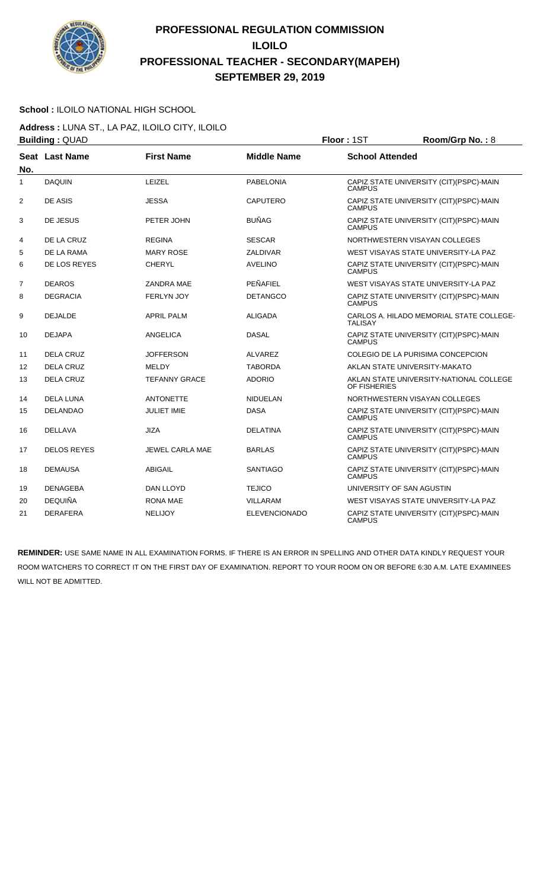

### **School :** ILOILO NATIONAL HIGH SCHOOL

**Address :** LUNA ST., LA PAZ, ILOILO CITY, ILOILO **Building :** QUAD **Floor :** 1ST **Room/Grp No. :** 8

|                | Panania . WOND        |                        |                      | .                                                          |
|----------------|-----------------------|------------------------|----------------------|------------------------------------------------------------|
| No.            | <b>Seat Last Name</b> | <b>First Name</b>      | <b>Middle Name</b>   | <b>School Attended</b>                                     |
| 1              | <b>DAQUIN</b>         | LEIZEL                 | <b>PABELONIA</b>     | CAPIZ STATE UNIVERSITY (CIT)(PSPC)-MAIN<br><b>CAMPUS</b>   |
| $\overline{2}$ | DE ASIS               | <b>JESSA</b>           | <b>CAPUTERO</b>      | CAPIZ STATE UNIVERSITY (CIT) (PSPC)-MAIN<br>CAMPUS         |
| 3              | DE JESUS              | PETER JOHN             | <b>BUÑAG</b>         | CAPIZ STATE UNIVERSITY (CIT)(PSPC)-MAIN<br><b>CAMPUS</b>   |
| 4              | DE LA CRUZ            | <b>REGINA</b>          | <b>SESCAR</b>        | NORTHWESTERN VISAYAN COLLEGES                              |
| 5              | DE LA RAMA            | <b>MARY ROSE</b>       | ZALDIVAR             | WEST VISAYAS STATE UNIVERSITY-LA PAZ                       |
| 6              | DE LOS REYES          | <b>CHERYL</b>          | <b>AVELINO</b>       | CAPIZ STATE UNIVERSITY (CIT)(PSPC)-MAIN<br><b>CAMPUS</b>   |
| $\overline{7}$ | <b>DEAROS</b>         | <b>ZANDRA MAE</b>      | PEÑAFIEL             | WEST VISAYAS STATE UNIVERSITY-LA PAZ                       |
| 8              | <b>DEGRACIA</b>       | <b>FERLYN JOY</b>      | <b>DETANGCO</b>      | CAPIZ STATE UNIVERSITY (CIT)(PSPC)-MAIN<br><b>CAMPUS</b>   |
| 9              | <b>DEJALDE</b>        | <b>APRIL PALM</b>      | ALIGADA              | CARLOS A. HILADO MEMORIAL STATE COLLEGE-<br><b>TALISAY</b> |
| 10             | <b>DEJAPA</b>         | <b>ANGELICA</b>        | <b>DASAL</b>         | CAPIZ STATE UNIVERSITY (CIT)(PSPC)-MAIN<br><b>CAMPUS</b>   |
| 11             | <b>DELA CRUZ</b>      | <b>JOFFERSON</b>       | <b>ALVAREZ</b>       | COLEGIO DE LA PURISIMA CONCEPCION                          |
| 12             | <b>DELA CRUZ</b>      | MELDY                  | <b>TABORDA</b>       | AKLAN STATE UNIVERSITY-MAKATO                              |
| 13             | <b>DELA CRUZ</b>      | <b>TEFANNY GRACE</b>   | <b>ADORIO</b>        | AKLAN STATE UNIVERSITY-NATIONAL COLLEGE<br>OF FISHERIES    |
| 14             | <b>DELA LUNA</b>      | <b>ANTONETTE</b>       | <b>NIDUELAN</b>      | NORTHWESTERN VISAYAN COLLEGES                              |
| 15             | <b>DELANDAO</b>       | <b>JULIET IMIE</b>     | <b>DASA</b>          | CAPIZ STATE UNIVERSITY (CIT)(PSPC)-MAIN<br><b>CAMPUS</b>   |
| 16             | <b>DELLAVA</b>        | <b>JIZA</b>            | <b>DELATINA</b>      | CAPIZ STATE UNIVERSITY (CIT)(PSPC)-MAIN<br><b>CAMPUS</b>   |
| 17             | <b>DELOS REYES</b>    | <b>JEWEL CARLA MAE</b> | <b>BARLAS</b>        | CAPIZ STATE UNIVERSITY (CIT)(PSPC)-MAIN<br><b>CAMPUS</b>   |
| 18             | <b>DEMAUSA</b>        | <b>ABIGAIL</b>         | <b>SANTIAGO</b>      | CAPIZ STATE UNIVERSITY (CIT)(PSPC)-MAIN<br><b>CAMPUS</b>   |
| 19             | <b>DENAGEBA</b>       | <b>DAN LLOYD</b>       | <b>TEJICO</b>        | UNIVERSITY OF SAN AGUSTIN                                  |
| 20             | <b>DEQUIÑA</b>        | <b>RONA MAE</b>        | <b>VILLARAM</b>      | WEST VISAYAS STATE UNIVERSITY-LA PAZ                       |
| 21             | <b>DERAFERA</b>       | <b>NELIJOY</b>         | <b>ELEVENCIONADO</b> | CAPIZ STATE UNIVERSITY (CIT)(PSPC)-MAIN<br><b>CAMPUS</b>   |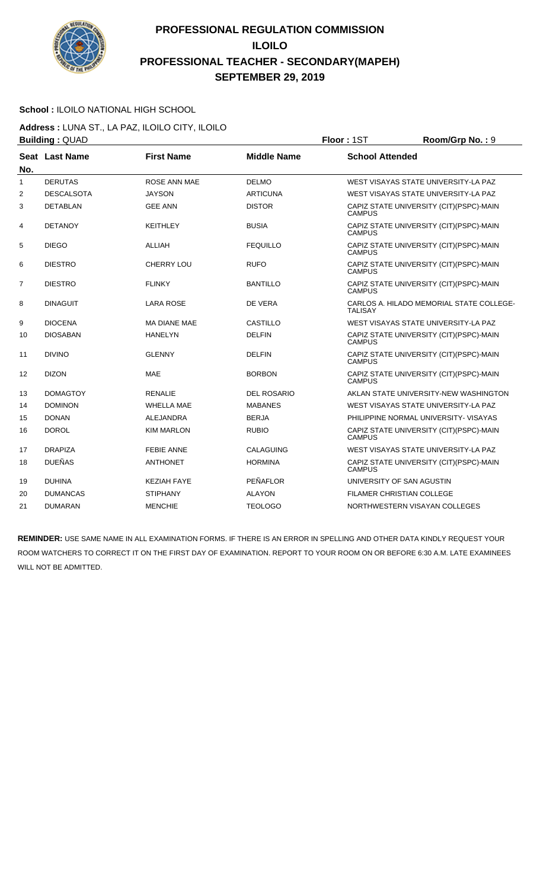

#### **School :** ILOILO NATIONAL HIGH SCHOOL

**Address :** LUNA ST., LA PAZ, ILOILO CITY, ILOILO **Building : QUAD Floor : 1ST Room/Grp No. : 9** 

| No.            | Seat Last Name    | <b>First Name</b>   | <b>Middle Name</b> | <b>School Attended</b>                                     |
|----------------|-------------------|---------------------|--------------------|------------------------------------------------------------|
| 1              | <b>DERUTAS</b>    | <b>ROSE ANN MAE</b> | <b>DELMO</b>       | WEST VISAYAS STATE UNIVERSITY-LA PAZ                       |
| 2              | <b>DESCALSOTA</b> | <b>JAYSON</b>       | <b>ARTICUNA</b>    | WEST VISAYAS STATE UNIVERSITY-LA PAZ                       |
| 3              | <b>DETABLAN</b>   | <b>GEE ANN</b>      | <b>DISTOR</b>      | CAPIZ STATE UNIVERSITY (CIT) (PSPC)-MAIN<br><b>CAMPUS</b>  |
| $\overline{4}$ | <b>DETANOY</b>    | <b>KEITHLEY</b>     | <b>BUSIA</b>       | CAPIZ STATE UNIVERSITY (CIT)(PSPC)-MAIN<br><b>CAMPUS</b>   |
| 5              | <b>DIEGO</b>      | <b>ALLIAH</b>       | <b>FEQUILLO</b>    | CAPIZ STATE UNIVERSITY (CIT) (PSPC)-MAIN<br><b>CAMPUS</b>  |
| 6              | <b>DIESTRO</b>    | <b>CHERRY LOU</b>   | <b>RUFO</b>        | CAPIZ STATE UNIVERSITY (CIT)(PSPC)-MAIN<br><b>CAMPUS</b>   |
| 7              | <b>DIESTRO</b>    | <b>FLINKY</b>       | <b>BANTILLO</b>    | CAPIZ STATE UNIVERSITY (CIT) (PSPC)-MAIN<br><b>CAMPUS</b>  |
| 8              | <b>DINAGUIT</b>   | LARA ROSE           | DE VERA            | CARLOS A. HILADO MEMORIAL STATE COLLEGE-<br><b>TALISAY</b> |
| 9              | <b>DIOCENA</b>    | <b>MA DIANE MAE</b> | CASTILLO           | WEST VISAYAS STATE UNIVERSITY-LA PAZ                       |
| 10             | <b>DIOSABAN</b>   | <b>HANELYN</b>      | <b>DELFIN</b>      | CAPIZ STATE UNIVERSITY (CIT) (PSPC)-MAIN<br><b>CAMPUS</b>  |
| 11             | <b>DIVINO</b>     | <b>GLENNY</b>       | <b>DELFIN</b>      | CAPIZ STATE UNIVERSITY (CIT)(PSPC)-MAIN<br><b>CAMPUS</b>   |
| 12             | <b>DIZON</b>      | <b>MAE</b>          | <b>BORBON</b>      | CAPIZ STATE UNIVERSITY (CIT)(PSPC)-MAIN<br><b>CAMPUS</b>   |
| 13             | <b>DOMAGTOY</b>   | <b>RENALIE</b>      | <b>DEL ROSARIO</b> | AKLAN STATE UNIVERSITY-NEW WASHINGTON                      |
| 14             | <b>DOMINON</b>    | <b>WHELLA MAE</b>   | <b>MABANES</b>     | WEST VISAYAS STATE UNIVERSITY-LA PAZ                       |
| 15             | <b>DONAN</b>      | <b>ALEJANDRA</b>    | <b>BERJA</b>       | PHILIPPINE NORMAL UNIVERSITY- VISAYAS                      |
| 16             | <b>DOROL</b>      | <b>KIM MARLON</b>   | <b>RUBIO</b>       | CAPIZ STATE UNIVERSITY (CIT)(PSPC)-MAIN<br><b>CAMPUS</b>   |
| 17             | <b>DRAPIZA</b>    | <b>FEBIE ANNE</b>   | CALAGUING          | WEST VISAYAS STATE UNIVERSITY-LA PAZ                       |
| 18             | <b>DUEÑAS</b>     | <b>ANTHONET</b>     | <b>HORMINA</b>     | CAPIZ STATE UNIVERSITY (CIT) (PSPC)-MAIN<br><b>CAMPUS</b>  |
| 19             | <b>DUHINA</b>     | <b>KEZIAH FAYE</b>  | PEÑAFLOR           | UNIVERSITY OF SAN AGUSTIN                                  |
| 20             | <b>DUMANCAS</b>   | <b>STIPHANY</b>     | <b>ALAYON</b>      | FILAMER CHRISTIAN COLLEGE                                  |
| 21             | <b>DUMARAN</b>    | <b>MENCHIE</b>      | <b>TEOLOGO</b>     | NORTHWESTERN VISAYAN COLLEGES                              |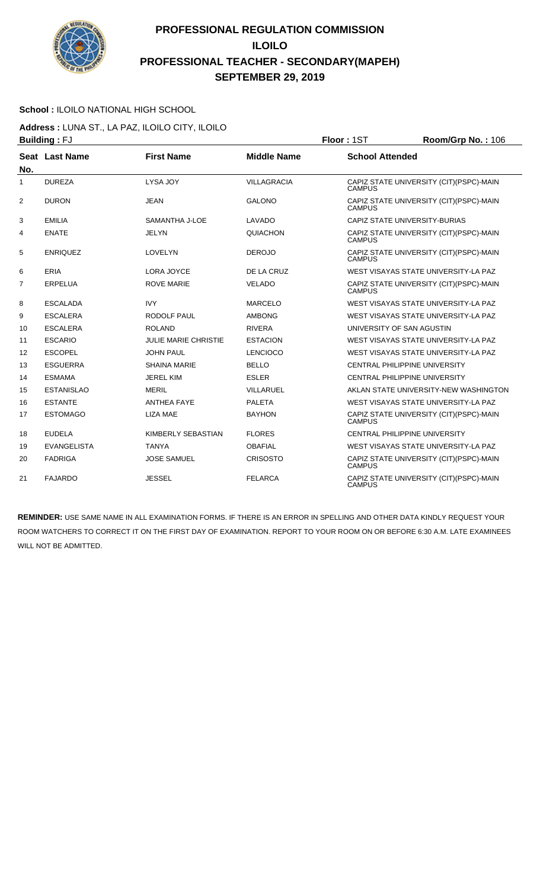

### **School :** ILOILO NATIONAL HIGH SCHOOL

**Address :** LUNA ST., LA PAZ, ILOILO CITY, ILOILO **Building :** FJ **Floor :** 1ST **Room/Grp No. :** 106

|     | . <u>.</u>         |                             |                    |                                                           |
|-----|--------------------|-----------------------------|--------------------|-----------------------------------------------------------|
| No. | Seat Last Name     | <b>First Name</b>           | <b>Middle Name</b> | <b>School Attended</b>                                    |
| 1   | <b>DUREZA</b>      | LYSA JOY                    | <b>VILLAGRACIA</b> | CAPIZ STATE UNIVERSITY (CIT) (PSPC)-MAIN<br><b>CAMPUS</b> |
| 2   | <b>DURON</b>       | <b>JEAN</b>                 | <b>GALONO</b>      | CAPIZ STATE UNIVERSITY (CIT) (PSPC)-MAIN<br><b>CAMPUS</b> |
| 3   | <b>EMILIA</b>      | SAMANTHA J-LOE              | LAVADO             | CAPIZ STATE UNIVERSITY-BURIAS                             |
| 4   | <b>ENATE</b>       | <b>JELYN</b>                | QUIACHON           | CAPIZ STATE UNIVERSITY (CIT)(PSPC)-MAIN<br><b>CAMPUS</b>  |
| 5   | <b>ENRIQUEZ</b>    | <b>LOVELYN</b>              | <b>DEROJO</b>      | CAPIZ STATE UNIVERSITY (CIT)(PSPC)-MAIN<br><b>CAMPUS</b>  |
| 6   | <b>ERIA</b>        | LORA JOYCE                  | DE LA CRUZ         | WEST VISAYAS STATE UNIVERSITY-LA PAZ                      |
| 7   | ERPELUA            | <b>ROVE MARIE</b>           | <b>VELADO</b>      | CAPIZ STATE UNIVERSITY (CIT) (PSPC)-MAIN<br><b>CAMPUS</b> |
| 8   | <b>ESCALADA</b>    | <b>IVY</b>                  | <b>MARCELO</b>     | WEST VISAYAS STATE UNIVERSITY-LA PAZ                      |
| 9   | <b>ESCALERA</b>    | RODOLF PAUL                 | <b>AMBONG</b>      | WEST VISAYAS STATE UNIVERSITY-LA PAZ                      |
| 10  | <b>ESCALERA</b>    | <b>ROLAND</b>               | <b>RIVERA</b>      | UNIVERSITY OF SAN AGUSTIN                                 |
| 11  | <b>ESCARIO</b>     | <b>JULIE MARIE CHRISTIE</b> | <b>ESTACION</b>    | WEST VISAYAS STATE UNIVERSITY-LA PAZ                      |
| 12  | <b>ESCOPEL</b>     | <b>JOHN PAUL</b>            | <b>LENCIOCO</b>    | WEST VISAYAS STATE UNIVERSITY-LA PAZ                      |
| 13  | <b>ESGUERRA</b>    | <b>SHAINA MARIE</b>         | <b>BELLO</b>       | <b>CENTRAL PHILIPPINE UNIVERSITY</b>                      |
| 14  | <b>ESMAMA</b>      | <b>JEREL KIM</b>            | <b>ESLER</b>       | <b>CENTRAL PHILIPPINE UNIVERSITY</b>                      |
| 15  | <b>ESTANISLAO</b>  | <b>MERIL</b>                | <b>VILLARUEL</b>   | AKLAN STATE UNIVERSITY-NEW WASHINGTON                     |
| 16  | <b>ESTANTE</b>     | <b>ANTHEA FAYE</b>          | <b>PALETA</b>      | WEST VISAYAS STATE UNIVERSITY-LA PAZ                      |
| 17  | <b>ESTOMAGO</b>    | <b>LIZA MAE</b>             | <b>BAYHON</b>      | CAPIZ STATE UNIVERSITY (CIT) (PSPC)-MAIN<br><b>CAMPUS</b> |
| 18  | <b>EUDELA</b>      | KIMBERLY SEBASTIAN          | <b>FLORES</b>      | CENTRAL PHILIPPINE UNIVERSITY                             |
| 19  | <b>EVANGELISTA</b> | <b>TANYA</b>                | <b>OBAFIAL</b>     | WEST VISAYAS STATE UNIVERSITY-LA PAZ                      |
| 20  | <b>FADRIGA</b>     | <b>JOSE SAMUEL</b>          | <b>CRISOSTO</b>    | CAPIZ STATE UNIVERSITY (CIT) (PSPC)-MAIN<br><b>CAMPUS</b> |
| 21  | <b>FAJARDO</b>     | <b>JESSEL</b>               | <b>FELARCA</b>     | CAPIZ STATE UNIVERSITY (CIT) (PSPC)-MAIN<br><b>CAMPUS</b> |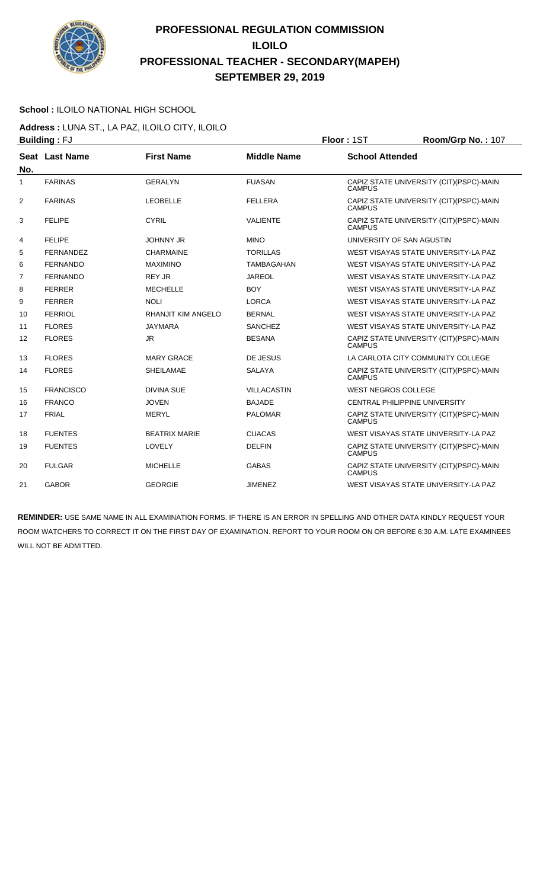

### **School :** ILOILO NATIONAL HIGH SCHOOL

**Address :** LUNA ST., LA PAZ, ILOILO CITY, ILOILO **Building :** FJ **Floor :** 1ST **Room/Grp No. :** 107

|                | ษนแนแพู . <sub>'</sub> v |                           |                    | .<br>11001111011011101                                   |
|----------------|--------------------------|---------------------------|--------------------|----------------------------------------------------------|
| No.            | Seat Last Name           | <b>First Name</b>         | <b>Middle Name</b> | <b>School Attended</b>                                   |
| 1              | <b>FARINAS</b>           | <b>GERALYN</b>            | <b>FUASAN</b>      | CAPIZ STATE UNIVERSITY (CIT)(PSPC)-MAIN<br><b>CAMPUS</b> |
| $\overline{2}$ | <b>FARINAS</b>           | <b>LEOBELLE</b>           | <b>FELLERA</b>     | CAPIZ STATE UNIVERSITY (CIT)(PSPC)-MAIN<br><b>CAMPUS</b> |
| 3              | <b>FELIPE</b>            | <b>CYRIL</b>              | <b>VALIENTE</b>    | CAPIZ STATE UNIVERSITY (CIT)(PSPC)-MAIN<br><b>CAMPUS</b> |
| 4              | <b>FELIPE</b>            | <b>JOHNNY JR</b>          | <b>MINO</b>        | UNIVERSITY OF SAN AGUSTIN                                |
| 5              | <b>FERNANDEZ</b>         | <b>CHARMAINE</b>          | <b>TORILLAS</b>    | WEST VISAYAS STATE UNIVERSITY-LA PAZ                     |
| 6              | <b>FERNANDO</b>          | <b>MAXIMINO</b>           | <b>TAMBAGAHAN</b>  | WEST VISAYAS STATE UNIVERSITY-LA PAZ                     |
| $\overline{7}$ | <b>FERNANDO</b>          | <b>REY JR</b>             | <b>JAREOL</b>      | WEST VISAYAS STATE UNIVERSITY-LA PAZ                     |
| 8              | <b>FERRER</b>            | <b>MECHELLE</b>           | <b>BOY</b>         | WEST VISAYAS STATE UNIVERSITY-LA PAZ                     |
| 9              | <b>FERRER</b>            | <b>NOLI</b>               | <b>LORCA</b>       | WEST VISAYAS STATE UNIVERSITY-LA PAZ                     |
| 10             | <b>FERRIOL</b>           | <b>RHANJIT KIM ANGELO</b> | <b>BERNAL</b>      | WEST VISAYAS STATE UNIVERSITY-LA PAZ                     |
| 11             | <b>FLORES</b>            | <b>JAYMARA</b>            | <b>SANCHEZ</b>     | WEST VISAYAS STATE UNIVERSITY-LA PAZ                     |
| 12             | <b>FLORES</b>            | JR.                       | <b>BESANA</b>      | CAPIZ STATE UNIVERSITY (CIT)(PSPC)-MAIN<br><b>CAMPUS</b> |
| 13             | <b>FLORES</b>            | <b>MARY GRACE</b>         | DE JESUS           | LA CARLOTA CITY COMMUNITY COLLEGE                        |
| 14             | <b>FLORES</b>            | <b>SHEILAMAE</b>          | <b>SALAYA</b>      | CAPIZ STATE UNIVERSITY (CIT)(PSPC)-MAIN<br><b>CAMPUS</b> |
| 15             | <b>FRANCISCO</b>         | <b>DIVINA SUE</b>         | <b>VILLACASTIN</b> | <b>WEST NEGROS COLLEGE</b>                               |
| 16             | <b>FRANCO</b>            | <b>JOVEN</b>              | <b>BAJADE</b>      | <b>CENTRAL PHILIPPINE UNIVERSITY</b>                     |
| 17             | <b>FRIAL</b>             | <b>MERYL</b>              | <b>PALOMAR</b>     | CAPIZ STATE UNIVERSITY (CIT)(PSPC)-MAIN<br><b>CAMPUS</b> |
| 18             | <b>FUENTES</b>           | <b>BEATRIX MARIE</b>      | <b>CUACAS</b>      | WEST VISAYAS STATE UNIVERSITY-LA PAZ                     |
| 19             | <b>FUENTES</b>           | <b>LOVELY</b>             | <b>DELFIN</b>      | CAPIZ STATE UNIVERSITY (CIT)(PSPC)-MAIN<br><b>CAMPUS</b> |
| 20             | <b>FULGAR</b>            | <b>MICHELLE</b>           | <b>GABAS</b>       | CAPIZ STATE UNIVERSITY (CIT)(PSPC)-MAIN<br><b>CAMPUS</b> |
| 21             | <b>GABOR</b>             | <b>GEORGIE</b>            | <b>JIMENEZ</b>     | WEST VISAYAS STATE UNIVERSITY-LA PAZ                     |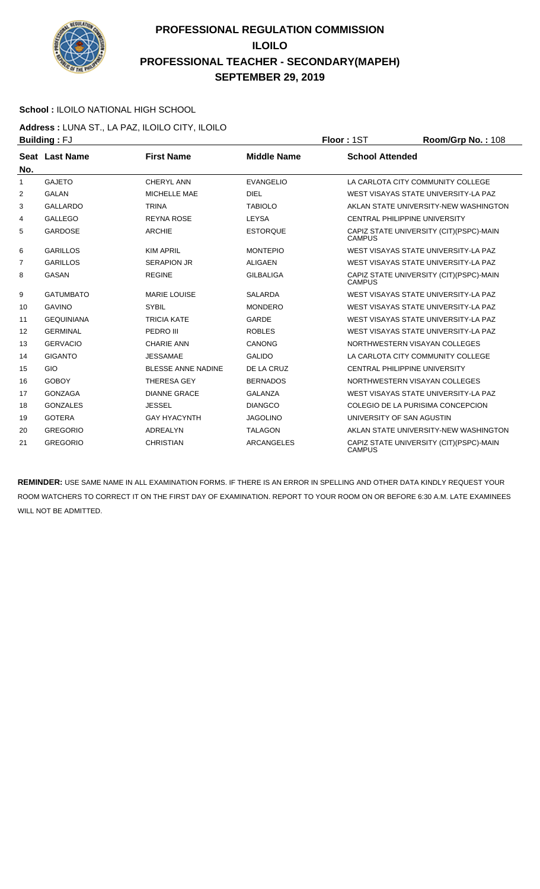

### **School :** ILOILO NATIONAL HIGH SCHOOL

**Address :** LUNA ST., LA PAZ, ILOILO CITY, ILOILO **Building : FJ Floor : 1ST Floor : 1ST Room/Grp No. : 108** 

|                | ט ו <sub>י ש</sub> וווטווש |                           |                    | ו טיו ייטשו                                               |
|----------------|----------------------------|---------------------------|--------------------|-----------------------------------------------------------|
| No.            | <b>Seat Last Name</b>      | <b>First Name</b>         | <b>Middle Name</b> | <b>School Attended</b>                                    |
| 1              | <b>GAJETO</b>              | CHERYL ANN                | <b>EVANGELIO</b>   | LA CARLOTA CITY COMMUNITY COLLEGE                         |
| $\overline{2}$ | <b>GALAN</b>               | MICHELLE MAE              | <b>DIEL</b>        | WEST VISAYAS STATE UNIVERSITY-LA PAZ                      |
| 3              | <b>GALLARDO</b>            | <b>TRINA</b>              | <b>TABIOLO</b>     | AKLAN STATE UNIVERSITY-NEW WASHINGTON                     |
| 4              | <b>GALLEGO</b>             | <b>REYNA ROSE</b>         | <b>LEYSA</b>       | <b>CENTRAL PHILIPPINE UNIVERSITY</b>                      |
| 5              | <b>GARDOSE</b>             | <b>ARCHIE</b>             | <b>ESTORQUE</b>    | CAPIZ STATE UNIVERSITY (CIT) (PSPC)-MAIN<br><b>CAMPUS</b> |
| 6              | <b>GARILLOS</b>            | <b>KIM APRIL</b>          | <b>MONTEPIO</b>    | WEST VISAYAS STATE UNIVERSITY-LA PAZ                      |
| $\overline{7}$ | <b>GARILLOS</b>            | <b>SERAPION JR</b>        | <b>ALIGAEN</b>     | WEST VISAYAS STATE UNIVERSITY-LA PAZ                      |
| 8              | <b>GASAN</b>               | <b>REGINE</b>             | <b>GILBALIGA</b>   | CAPIZ STATE UNIVERSITY (CIT)(PSPC)-MAIN<br><b>CAMPUS</b>  |
| 9              | <b>GATUMBATO</b>           | <b>MARIE LOUISE</b>       | <b>SALARDA</b>     | WEST VISAYAS STATE UNIVERSITY-LA PAZ                      |
| 10             | <b>GAVINO</b>              | <b>SYBIL</b>              | <b>MONDERO</b>     | WEST VISAYAS STATE UNIVERSITY-LA PAZ                      |
| 11             | <b>GEQUINIANA</b>          | <b>TRICIA KATE</b>        | GARDE              | WEST VISAYAS STATE UNIVERSITY-LA PAZ                      |
| 12             | <b>GERMINAL</b>            | PEDRO III                 | <b>ROBLES</b>      | WEST VISAYAS STATE UNIVERSITY-LA PAZ                      |
| 13             | <b>GERVACIO</b>            | <b>CHARIE ANN</b>         | <b>CANONG</b>      | NORTHWESTERN VISAYAN COLLEGES                             |
| 14             | <b>GIGANTO</b>             | <b>JESSAMAE</b>           | <b>GALIDO</b>      | LA CARLOTA CITY COMMUNITY COLLEGE                         |
| 15             | GIO                        | <b>BLESSE ANNE NADINE</b> | DE LA CRUZ         | CENTRAL PHILIPPINE UNIVERSITY                             |
| 16             | <b>GOBOY</b>               | <b>THERESA GEY</b>        | <b>BERNADOS</b>    | NORTHWESTERN VISAYAN COLLEGES                             |
| 17             | <b>GONZAGA</b>             | <b>DIANNE GRACE</b>       | <b>GALANZA</b>     | WEST VISAYAS STATE UNIVERSITY-LA PAZ                      |
| 18             | <b>GONZALES</b>            | <b>JESSEL</b>             | <b>DIANGCO</b>     | COLEGIO DE LA PURISIMA CONCEPCION                         |
| 19             | <b>GOTERA</b>              | <b>GAY HYACYNTH</b>       | <b>JAGOLINO</b>    | UNIVERSITY OF SAN AGUSTIN                                 |
| 20             | <b>GREGORIO</b>            | <b>ADREALYN</b>           | <b>TALAGON</b>     | AKLAN STATE UNIVERSITY-NEW WASHINGTON                     |
| 21             | <b>GREGORIO</b>            | <b>CHRISTIAN</b>          | <b>ARCANGELES</b>  | CAPIZ STATE UNIVERSITY (CIT) (PSPC)-MAIN<br><b>CAMPUS</b> |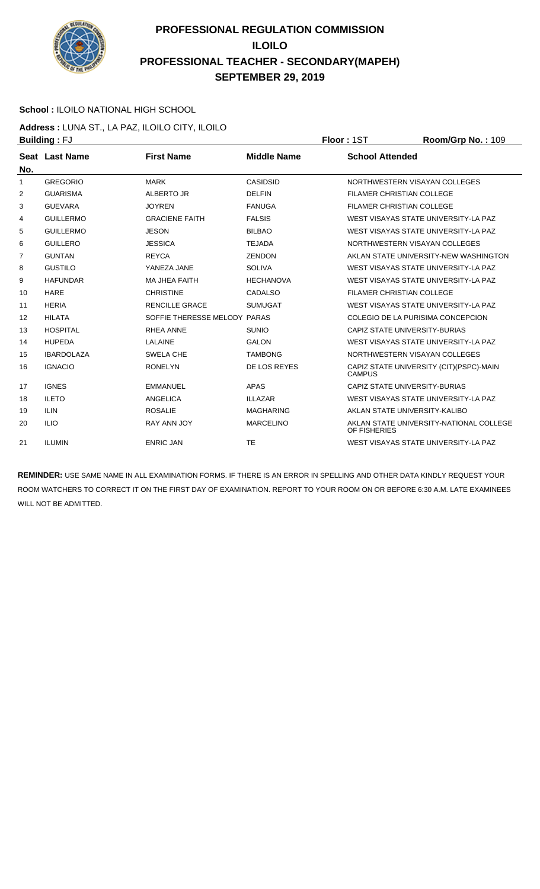

### **School :** ILOILO NATIONAL HIGH SCHOOL

**Address :** LUNA ST., LA PAZ, ILOILO CITY, ILOILO **Building : FJ Floor : 1ST Room/Grp No. : 109** 

| No. | Seat Last Name    | <b>First Name</b>            | <b>Middle Name</b> | <b>School Attended</b>                                    |
|-----|-------------------|------------------------------|--------------------|-----------------------------------------------------------|
| 1   | <b>GREGORIO</b>   | <b>MARK</b>                  | <b>CASIDSID</b>    | NORTHWESTERN VISAYAN COLLEGES                             |
| 2   | <b>GUARISMA</b>   | ALBERTO JR                   | <b>DELFIN</b>      | <b>FILAMER CHRISTIAN COLLEGE</b>                          |
| 3   | <b>GUEVARA</b>    | <b>JOYREN</b>                | <b>FANUGA</b>      | <b>FILAMER CHRISTIAN COLLEGE</b>                          |
| 4   | <b>GUILLERMO</b>  | <b>GRACIENE FAITH</b>        | <b>FALSIS</b>      | WEST VISAYAS STATE UNIVERSITY-LA PAZ                      |
| 5   | <b>GUILLERMO</b>  | <b>JESON</b>                 | <b>BILBAO</b>      | WEST VISAYAS STATE UNIVERSITY-LA PAZ                      |
| 6   | <b>GUILLERO</b>   | <b>JESSICA</b>               | <b>TEJADA</b>      | NORTHWESTERN VISAYAN COLLEGES                             |
| 7   | <b>GUNTAN</b>     | <b>REYCA</b>                 | <b>ZENDON</b>      | AKLAN STATE UNIVERSITY-NEW WASHINGTON                     |
| 8   | <b>GUSTILO</b>    | YANEZA JANE                  | <b>SOLIVA</b>      | WEST VISAYAS STATE UNIVERSITY-LA PAZ                      |
| 9   | <b>HAFUNDAR</b>   | <b>MA JHEA FAITH</b>         | <b>HECHANOVA</b>   | WEST VISAYAS STATE UNIVERSITY-LA PAZ                      |
| 10  | <b>HARE</b>       | <b>CHRISTINE</b>             | <b>CADALSO</b>     | <b>FILAMER CHRISTIAN COLLEGE</b>                          |
| 11  | <b>HERIA</b>      | <b>RENCILLE GRACE</b>        | <b>SUMUGAT</b>     | WEST VISAYAS STATE UNIVERSITY-LA PAZ                      |
| 12  | <b>HILATA</b>     | SOFFIE THERESSE MELODY PARAS |                    | COLEGIO DE LA PURISIMA CONCEPCION                         |
| 13  | <b>HOSPITAL</b>   | <b>RHEA ANNE</b>             | <b>SUNIO</b>       | CAPIZ STATE UNIVERSITY-BURIAS                             |
| 14  | <b>HUPEDA</b>     | <b>LALAINE</b>               | <b>GALON</b>       | WEST VISAYAS STATE UNIVERSITY-LA PAZ                      |
| 15  | <b>IBARDOLAZA</b> | <b>SWELA CHE</b>             | <b>TAMBONG</b>     | NORTHWESTERN VISAYAN COLLEGES                             |
| 16  | <b>IGNACIO</b>    | <b>RONELYN</b>               | DE LOS REYES       | CAPIZ STATE UNIVERSITY (CIT) (PSPC)-MAIN<br><b>CAMPUS</b> |
| 17  | <b>IGNES</b>      | <b>EMMANUEL</b>              | <b>APAS</b>        | CAPIZ STATE UNIVERSITY-BURIAS                             |
| 18  | <b>ILETO</b>      | <b>ANGELICA</b>              | <b>ILLAZAR</b>     | WEST VISAYAS STATE UNIVERSITY-LA PAZ                      |
| 19  | <b>ILIN</b>       | <b>ROSALIE</b>               | <b>MAGHARING</b>   | AKLAN STATE UNIVERSITY-KALIBO                             |
| 20  | <b>ILIO</b>       | <b>RAY ANN JOY</b>           | <b>MARCELINO</b>   | AKLAN STATE UNIVERSITY-NATIONAL COLLEGE<br>OF FISHERIES   |
| 21  | <b>ILUMIN</b>     | <b>ENRIC JAN</b>             | <b>TE</b>          | WEST VISAYAS STATE UNIVERSITY-LA PAZ                      |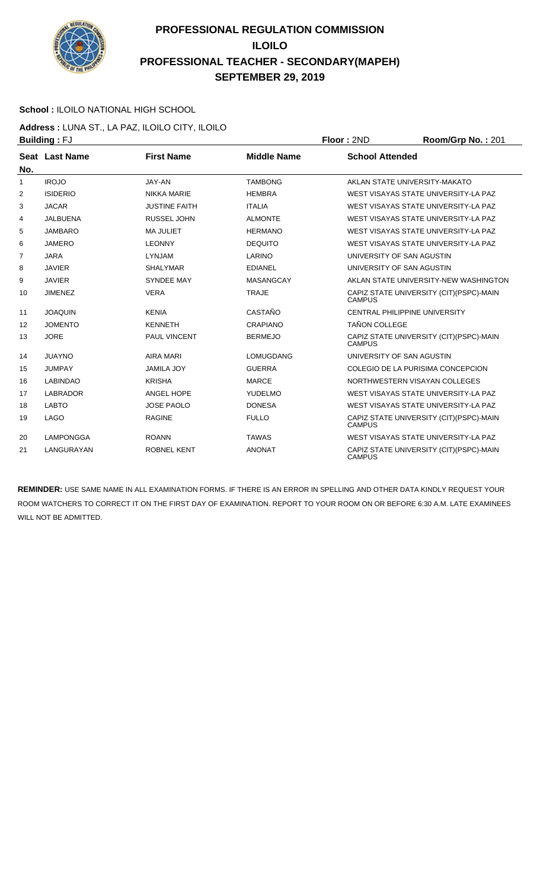

### **School :** ILOILO NATIONAL HIGH SCHOOL

**Address :** LUNA ST., LA PAZ, ILOILO CITY, ILOILO **Building :** FJ **Floor :** 2ND **Room/Grp No. :** 201

| No.            | Seat Last Name   | <b>First Name</b>    | <b>Middle Name</b> | <b>School Attended</b>                                    |
|----------------|------------------|----------------------|--------------------|-----------------------------------------------------------|
| $\mathbf{1}$   | <b>IROJO</b>     | JAY-AN               | <b>TAMBONG</b>     | AKLAN STATE UNIVERSITY-MAKATO                             |
| $\overline{2}$ | <b>ISIDERIO</b>  | <b>NIKKA MARIE</b>   | <b>HEMBRA</b>      | WEST VISAYAS STATE UNIVERSITY-LA PAZ                      |
| 3              | <b>JACAR</b>     | <b>JUSTINE FAITH</b> | <b>ITALIA</b>      | WEST VISAYAS STATE UNIVERSITY-LA PAZ                      |
| 4              | <b>JALBUENA</b>  | <b>RUSSEL JOHN</b>   | <b>ALMONTE</b>     | WEST VISAYAS STATE UNIVERSITY-LA PAZ                      |
| 5              | <b>JAMBARO</b>   | <b>MA JULIET</b>     | <b>HERMANO</b>     | WEST VISAYAS STATE UNIVERSITY-LA PAZ                      |
| 6              | <b>JAMERO</b>    | <b>LEONNY</b>        | <b>DEQUITO</b>     | WEST VISAYAS STATE UNIVERSITY-LA PAZ                      |
| 7              | <b>JARA</b>      | <b>LYNJAM</b>        | LARINO             | UNIVERSITY OF SAN AGUSTIN                                 |
| 8              | <b>JAVIER</b>    | <b>SHALYMAR</b>      | <b>EDIANEL</b>     | UNIVERSITY OF SAN AGUSTIN                                 |
| 9              | <b>JAVIER</b>    | <b>SYNDEE MAY</b>    | <b>MASANGCAY</b>   | AKLAN STATE UNIVERSITY-NEW WASHINGTON                     |
| 10             | <b>JIMENEZ</b>   | <b>VERA</b>          | <b>TRAJE</b>       | CAPIZ STATE UNIVERSITY (CIT) (PSPC)-MAIN<br><b>CAMPUS</b> |
| 11             | <b>JOAQUIN</b>   | <b>KENIA</b>         | CASTAÑO            | CENTRAL PHILIPPINE UNIVERSITY                             |
| 12             | <b>JOMENTO</b>   | <b>KENNETH</b>       | <b>CRAPIANO</b>    | <b>TAÑON COLLEGE</b>                                      |
| 13             | <b>JORE</b>      | PAUL VINCENT         | <b>BERMEJO</b>     | CAPIZ STATE UNIVERSITY (CIT) (PSPC)-MAIN<br><b>CAMPUS</b> |
| 14             | <b>JUAYNO</b>    | <b>AIRA MARI</b>     | LOMUGDANG          | UNIVERSITY OF SAN AGUSTIN                                 |
| 15             | <b>JUMPAY</b>    | <b>JAMILA JOY</b>    | <b>GUERRA</b>      | COLEGIO DE LA PURISIMA CONCEPCION                         |
| 16             | <b>LABINDAO</b>  | <b>KRISHA</b>        | <b>MARCE</b>       | NORTHWESTERN VISAYAN COLLEGES                             |
| 17             | <b>LABRADOR</b>  | ANGEL HOPE           | YUDELMO            | WEST VISAYAS STATE UNIVERSITY-LA PAZ                      |
| 18             | <b>LABTO</b>     | <b>JOSE PAOLO</b>    | <b>DONESA</b>      | WEST VISAYAS STATE UNIVERSITY-LA PAZ                      |
| 19             | <b>LAGO</b>      | <b>RAGINE</b>        | <b>FULLO</b>       | CAPIZ STATE UNIVERSITY (CIT) (PSPC)-MAIN<br><b>CAMPUS</b> |
| 20             | <b>LAMPONGGA</b> | <b>ROANN</b>         | <b>TAWAS</b>       | WEST VISAYAS STATE UNIVERSITY-LA PAZ                      |
| 21             | LANGURAYAN       | <b>ROBNEL KENT</b>   | <b>ANONAT</b>      | CAPIZ STATE UNIVERSITY (CIT) (PSPC)-MAIN<br><b>CAMPUS</b> |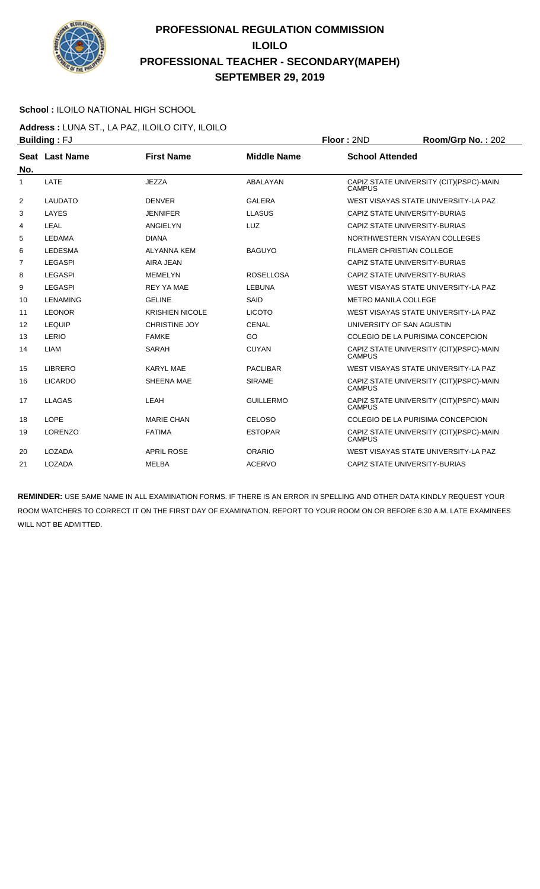

### **School :** ILOILO NATIONAL HIGH SCHOOL

**Address :** LUNA ST., LA PAZ, ILOILO CITY, ILOILO **Building :** FJ **Floor :** 2ND **Room/Grp No. :** 202

|                | ט ו . מיווטווע  |                        |                    | שיוג ויטשו<br>110011100111011011202                       |
|----------------|-----------------|------------------------|--------------------|-----------------------------------------------------------|
| No.            | Seat Last Name  | <b>First Name</b>      | <b>Middle Name</b> | <b>School Attended</b>                                    |
| 1              | LATE            | <b>JEZZA</b>           | <b>ABALAYAN</b>    | CAPIZ STATE UNIVERSITY (CIT)(PSPC)-MAIN<br><b>CAMPUS</b>  |
| $\overline{2}$ | <b>LAUDATO</b>  | <b>DENVER</b>          | <b>GALERA</b>      | WEST VISAYAS STATE UNIVERSITY-LA PAZ                      |
| 3              | LAYES           | <b>JENNIFER</b>        | <b>LLASUS</b>      | CAPIZ STATE UNIVERSITY-BURIAS                             |
| 4              | LEAL            | <b>ANGIELYN</b>        | <b>LUZ</b>         | CAPIZ STATE UNIVERSITY-BURIAS                             |
| 5              | <b>LEDAMA</b>   | <b>DIANA</b>           |                    | NORTHWESTERN VISAYAN COLLEGES                             |
| 6              | <b>LEDESMA</b>  | <b>ALYANNA KEM</b>     | <b>BAGUYO</b>      | FILAMER CHRISTIAN COLLEGE                                 |
| 7              | <b>LEGASPI</b>  | AIRA JEAN              |                    | CAPIZ STATE UNIVERSITY-BURIAS                             |
| 8              | <b>LEGASPI</b>  | <b>MEMELYN</b>         | <b>ROSELLOSA</b>   | CAPIZ STATE UNIVERSITY-BURIAS                             |
| 9              | <b>LEGASPI</b>  | <b>REY YA MAE</b>      | <b>LEBUNA</b>      | WEST VISAYAS STATE UNIVERSITY-LA PAZ                      |
| 10             | <b>LENAMING</b> | <b>GELINE</b>          | SAID               | <b>METRO MANILA COLLEGE</b>                               |
| 11             | <b>LEONOR</b>   | <b>KRISHIEN NICOLE</b> | <b>LICOTO</b>      | WEST VISAYAS STATE UNIVERSITY-LA PAZ                      |
| 12             | <b>LEQUIP</b>   | <b>CHRISTINE JOY</b>   | <b>CENAL</b>       | UNIVERSITY OF SAN AGUSTIN                                 |
| 13             | LERIO           | <b>FAMKE</b>           | GO                 | COLEGIO DE LA PURISIMA CONCEPCION                         |
| 14             | <b>LIAM</b>     | <b>SARAH</b>           | <b>CUYAN</b>       | CAPIZ STATE UNIVERSITY (CIT)(PSPC)-MAIN<br><b>CAMPUS</b>  |
| 15             | LIBRERO         | <b>KARYL MAE</b>       | <b>PACLIBAR</b>    | WEST VISAYAS STATE UNIVERSITY-LA PAZ                      |
| 16             | <b>LICARDO</b>  | SHEENA MAE             | <b>SIRAME</b>      | CAPIZ STATE UNIVERSITY (CIT) (PSPC)-MAIN<br><b>CAMPUS</b> |
| 17             | LLAGAS          | LEAH                   | <b>GUILLERMO</b>   | CAPIZ STATE UNIVERSITY (CIT)(PSPC)-MAIN<br><b>CAMPUS</b>  |
| 18             | LOPE            | <b>MARIE CHAN</b>      | <b>CELOSO</b>      | COLEGIO DE LA PURISIMA CONCEPCION                         |
| 19             | <b>LORENZO</b>  | <b>FATIMA</b>          | <b>ESTOPAR</b>     | CAPIZ STATE UNIVERSITY (CIT)(PSPC)-MAIN<br><b>CAMPUS</b>  |
| 20             | LOZADA          | <b>APRIL ROSE</b>      | ORARIO             | WEST VISAYAS STATE UNIVERSITY-LA PAZ                      |
| 21             | LOZADA          | <b>MELBA</b>           | <b>ACERVO</b>      | CAPIZ STATE UNIVERSITY-BURIAS                             |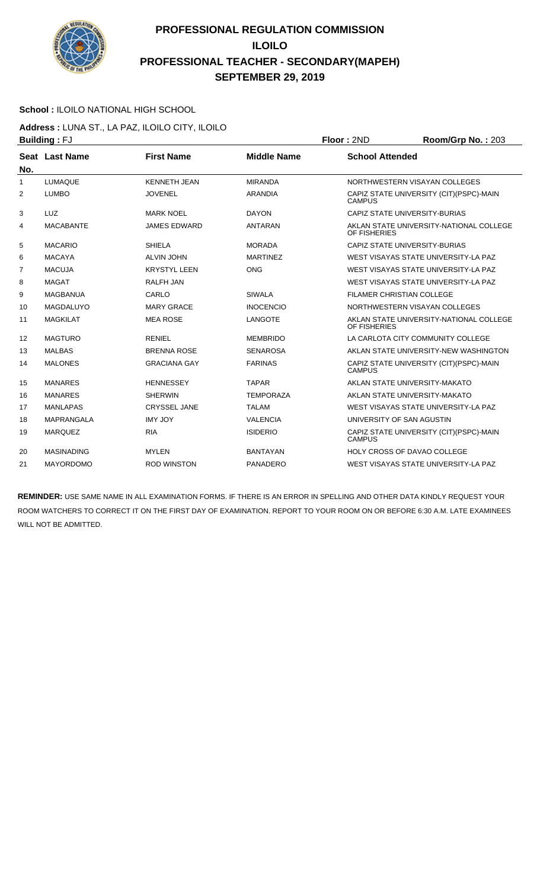

### **School :** ILOILO NATIONAL HIGH SCHOOL

**Address :** LUNA ST., LA PAZ, ILOILO CITY, ILOILO **Building :** FJ **Floor :** 2ND **Room/Grp No. :** 203

|              | ษนแนแพู . <sub>'</sub> v |                     |                    | .<br>110011101110112121200                                |
|--------------|--------------------------|---------------------|--------------------|-----------------------------------------------------------|
| No.          | Seat Last Name           | <b>First Name</b>   | <b>Middle Name</b> | <b>School Attended</b>                                    |
| $\mathbf{1}$ | <b>LUMAQUE</b>           | <b>KENNETH JEAN</b> | <b>MIRANDA</b>     | NORTHWESTERN VISAYAN COLLEGES                             |
| 2            | <b>LUMBO</b>             | <b>JOVENEL</b>      | <b>ARANDIA</b>     | CAPIZ STATE UNIVERSITY (CIT) (PSPC)-MAIN<br><b>CAMPUS</b> |
| 3            | LUZ                      | <b>MARK NOEL</b>    | <b>DAYON</b>       | CAPIZ STATE UNIVERSITY-BURIAS                             |
| 4            | <b>MACABANTE</b>         | <b>JAMES EDWARD</b> | <b>ANTARAN</b>     | AKLAN STATE UNIVERSITY-NATIONAL COLLEGE<br>OF FISHERIES   |
| 5            | <b>MACARIO</b>           | <b>SHIELA</b>       | <b>MORADA</b>      | CAPIZ STATE UNIVERSITY-BURIAS                             |
| 6            | <b>MACAYA</b>            | <b>ALVIN JOHN</b>   | <b>MARTINEZ</b>    | WEST VISAYAS STATE UNIVERSITY-LA PAZ                      |
| 7            | <b>MACUJA</b>            | <b>KRYSTYL LEEN</b> | <b>ONG</b>         | WEST VISAYAS STATE UNIVERSITY-LA PAZ                      |
| 8            | <b>MAGAT</b>             | <b>RALFH JAN</b>    |                    | WEST VISAYAS STATE UNIVERSITY-LA PAZ                      |
| 9            | <b>MAGBANUA</b>          | CARLO               | <b>SIWALA</b>      | FILAMER CHRISTIAN COLLEGE                                 |
| 10           | <b>MAGDALUYO</b>         | <b>MARY GRACE</b>   | <b>INOCENCIO</b>   | NORTHWESTERN VISAYAN COLLEGES                             |
| 11           | <b>MAGKILAT</b>          | <b>MEA ROSE</b>     | <b>LANGOTE</b>     | AKLAN STATE UNIVERSITY-NATIONAL COLLEGE<br>OF FISHERIES   |
| 12           | <b>MAGTURO</b>           | <b>RENIEL</b>       | <b>MEMBRIDO</b>    | LA CARLOTA CITY COMMUNITY COLLEGE                         |
| 13           | <b>MALBAS</b>            | <b>BRENNA ROSE</b>  | <b>SENAROSA</b>    | AKLAN STATE UNIVERSITY-NEW WASHINGTON                     |
| 14           | <b>MALONES</b>           | <b>GRACIANA GAY</b> | <b>FARINAS</b>     | CAPIZ STATE UNIVERSITY (CIT) (PSPC)-MAIN<br><b>CAMPUS</b> |
| 15           | <b>MANARES</b>           | <b>HENNESSEY</b>    | <b>TAPAR</b>       | AKLAN STATE UNIVERSITY-MAKATO                             |
| 16           | <b>MANARES</b>           | <b>SHERWIN</b>      | <b>TEMPORAZA</b>   | AKLAN STATE UNIVERSITY-MAKATO                             |
| 17           | <b>MANLAPAS</b>          | <b>CRYSSEL JANE</b> | <b>TALAM</b>       | WEST VISAYAS STATE UNIVERSITY-LA PAZ                      |
| 18           | <b>MAPRANGALA</b>        | <b>IMY JOY</b>      | <b>VALENCIA</b>    | UNIVERSITY OF SAN AGUSTIN                                 |
| 19           | <b>MARQUEZ</b>           | <b>RIA</b>          | <b>ISIDERIO</b>    | CAPIZ STATE UNIVERSITY (CIT) (PSPC)-MAIN<br><b>CAMPUS</b> |
| 20           | <b>MASINADING</b>        | <b>MYLEN</b>        | <b>BANTAYAN</b>    | <b>HOLY CROSS OF DAVAO COLLEGE</b>                        |
| 21           | <b>MAYORDOMO</b>         | <b>ROD WINSTON</b>  | <b>PANADERO</b>    | WEST VISAYAS STATE UNIVERSITY-LA PAZ                      |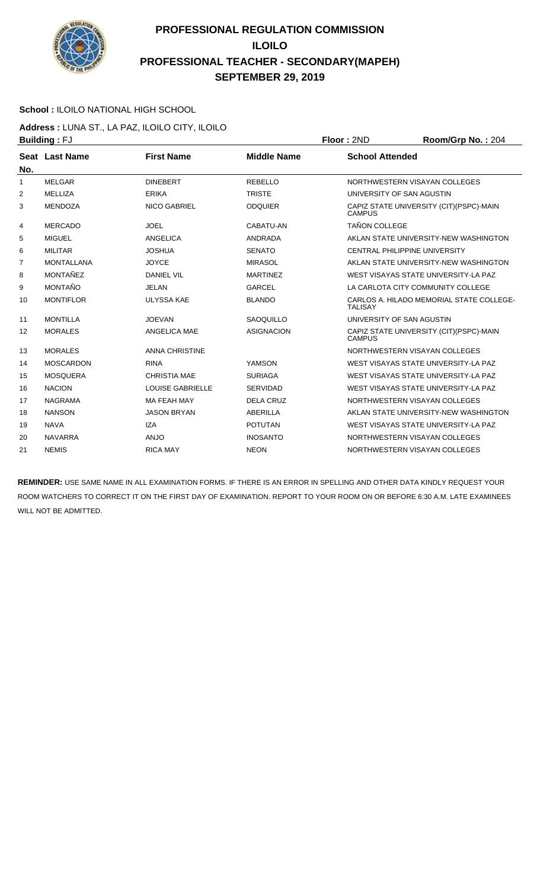

### **School :** ILOILO NATIONAL HIGH SCHOOL

**Address :** LUNA ST., LA PAZ, ILOILO CITY, ILOILO **Building :** FJ **Floor :** 2ND **Room/Grp No. :** 204

|                | ษนแนแพู . <sub>'</sub> v |                         |                    | <b>UUI 1 41 1 4</b>                                        |
|----------------|--------------------------|-------------------------|--------------------|------------------------------------------------------------|
| No.            | Seat Last Name           | <b>First Name</b>       | <b>Middle Name</b> | <b>School Attended</b>                                     |
| 1              | <b>MELGAR</b>            | <b>DINEBERT</b>         | <b>REBELLO</b>     | NORTHWESTERN VISAYAN COLLEGES                              |
| 2              | MELLIZA                  | <b>ERIKA</b>            | <b>TRISTE</b>      | UNIVERSITY OF SAN AGUSTIN                                  |
| 3              | <b>MENDOZA</b>           | <b>NICO GABRIEL</b>     | <b>ODQUIER</b>     | CAPIZ STATE UNIVERSITY (CIT) (PSPC)-MAIN<br><b>CAMPUS</b>  |
| 4              | <b>MERCADO</b>           | <b>JOEL</b>             | CABATU-AN          | <b>TAÑON COLLEGE</b>                                       |
| 5              | <b>MIGUEL</b>            | ANGELICA                | <b>ANDRADA</b>     | AKLAN STATE UNIVERSITY-NEW WASHINGTON                      |
| 6              | <b>MILITAR</b>           | <b>JOSHUA</b>           | <b>SENATO</b>      | <b>CENTRAL PHILIPPINE UNIVERSITY</b>                       |
| $\overline{7}$ | <b>MONTALLANA</b>        | <b>JOYCE</b>            | <b>MIRASOL</b>     | AKLAN STATE UNIVERSITY-NEW WASHINGTON                      |
| 8              | <b>MONTAÑEZ</b>          | <b>DANIEL VIL</b>       | <b>MARTINEZ</b>    | WEST VISAYAS STATE UNIVERSITY-LA PAZ                       |
| 9              | <b>MONTAÑO</b>           | <b>JELAN</b>            | <b>GARCEL</b>      | LA CARLOTA CITY COMMUNITY COLLEGE                          |
| 10             | <b>MONTIFLOR</b>         | <b>ULYSSA KAE</b>       | <b>BLANDO</b>      | CARLOS A. HILADO MEMORIAL STATE COLLEGE-<br><b>TALISAY</b> |
| 11             | <b>MONTILLA</b>          | <b>JOEVAN</b>           | <b>SAOQUILLO</b>   | UNIVERSITY OF SAN AGUSTIN                                  |
| 12             | <b>MORALES</b>           | ANGELICA MAE            | <b>ASIGNACION</b>  | CAPIZ STATE UNIVERSITY (CIT) (PSPC)-MAIN<br><b>CAMPUS</b>  |
| 13             | <b>MORALES</b>           | <b>ANNA CHRISTINE</b>   |                    | NORTHWESTERN VISAYAN COLLEGES                              |
| 14             | <b>MOSCARDON</b>         | <b>RINA</b>             | YAMSON             | WEST VISAYAS STATE UNIVERSITY-LA PAZ                       |
| 15             | <b>MOSQUERA</b>          | <b>CHRISTIA MAE</b>     | <b>SURIAGA</b>     | WEST VISAYAS STATE UNIVERSITY-LA PAZ                       |
| 16             | <b>NACION</b>            | <b>LOUISE GABRIELLE</b> | <b>SERVIDAD</b>    | WEST VISAYAS STATE UNIVERSITY-LA PAZ                       |
| 17             | <b>NAGRAMA</b>           | <b>MA FEAH MAY</b>      | <b>DELA CRUZ</b>   | NORTHWESTERN VISAYAN COLLEGES                              |
| 18             | <b>NANSON</b>            | <b>JASON BRYAN</b>      | <b>ABERILLA</b>    | AKLAN STATE UNIVERSITY-NEW WASHINGTON                      |
| 19             | <b>NAVA</b>              | <b>IZA</b>              | <b>POTUTAN</b>     | WEST VISAYAS STATE UNIVERSITY-LA PAZ                       |
| 20             | <b>NAVARRA</b>           | <b>ANJO</b>             | <b>INOSANTO</b>    | NORTHWESTERN VISAYAN COLLEGES                              |
| 21             | <b>NEMIS</b>             | <b>RICA MAY</b>         | <b>NEON</b>        | NORTHWESTERN VISAYAN COLLEGES                              |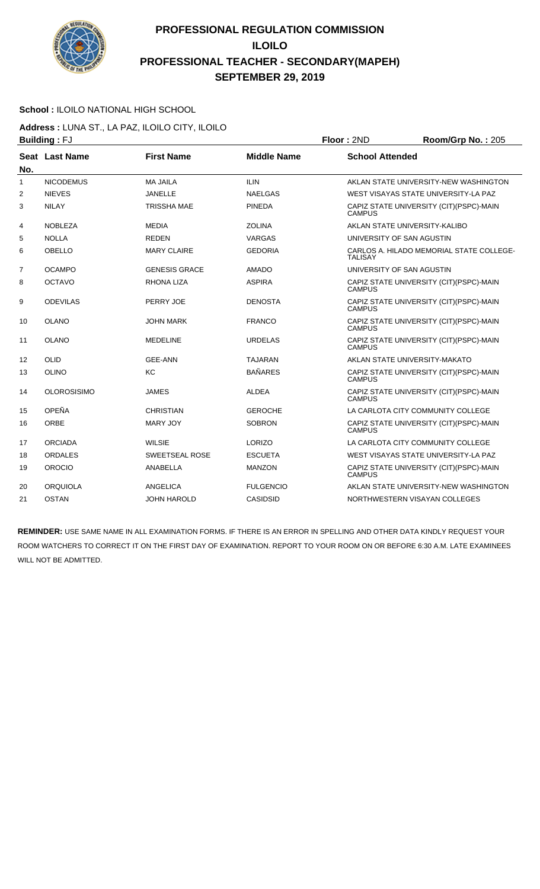

### **School :** ILOILO NATIONAL HIGH SCHOOL

**Address :** LUNA ST., LA PAZ, ILOILO CITY, ILOILO **Building :** FJ **Floor :** 2ND **Room/Grp No. :** 205

| ט ו . מיווטווע<br>שיוג ויטשו |                    |                      |                    |                                                            |
|------------------------------|--------------------|----------------------|--------------------|------------------------------------------------------------|
| No.                          | Seat Last Name     | <b>First Name</b>    | <b>Middle Name</b> | <b>School Attended</b>                                     |
| 1                            | <b>NICODEMUS</b>   | <b>MA JAILA</b>      | <b>ILIN</b>        | AKLAN STATE UNIVERSITY-NEW WASHINGTON                      |
| 2                            | <b>NIEVES</b>      | <b>JANELLE</b>       | <b>NAELGAS</b>     | WEST VISAYAS STATE UNIVERSITY-LA PAZ                       |
| 3                            | <b>NILAY</b>       | <b>TRISSHA MAE</b>   | <b>PINEDA</b>      | CAPIZ STATE UNIVERSITY (CIT)(PSPC)-MAIN<br><b>CAMPUS</b>   |
| 4                            | <b>NOBLEZA</b>     | <b>MEDIA</b>         | <b>ZOLINA</b>      | AKLAN STATE UNIVERSITY-KALIBO                              |
| 5                            | <b>NOLLA</b>       | <b>REDEN</b>         | VARGAS             | UNIVERSITY OF SAN AGUSTIN                                  |
| 6                            | <b>OBELLO</b>      | <b>MARY CLAIRE</b>   | <b>GEDORIA</b>     | CARLOS A. HILADO MEMORIAL STATE COLLEGE-<br><b>TALISAY</b> |
| $\overline{7}$               | <b>OCAMPO</b>      | <b>GENESIS GRACE</b> | <b>AMADO</b>       | UNIVERSITY OF SAN AGUSTIN                                  |
| 8                            | <b>OCTAVO</b>      | <b>RHONA LIZA</b>    | <b>ASPIRA</b>      | CAPIZ STATE UNIVERSITY (CIT) (PSPC)-MAIN<br><b>CAMPUS</b>  |
| 9                            | <b>ODEVILAS</b>    | PERRY JOE            | <b>DENOSTA</b>     | CAPIZ STATE UNIVERSITY (CIT)(PSPC)-MAIN<br><b>CAMPUS</b>   |
| 10                           | <b>OLANO</b>       | <b>JOHN MARK</b>     | <b>FRANCO</b>      | CAPIZ STATE UNIVERSITY (CIT) (PSPC)-MAIN<br><b>CAMPUS</b>  |
| 11                           | <b>OLANO</b>       | <b>MEDELINE</b>      | <b>URDELAS</b>     | CAPIZ STATE UNIVERSITY (CIT) (PSPC)-MAIN<br><b>CAMPUS</b>  |
| 12                           | OLID               | <b>GEE-ANN</b>       | <b>TAJARAN</b>     | AKLAN STATE UNIVERSITY-MAKATO                              |
| 13                           | OLINO              | KC                   | <b>BAÑARES</b>     | CAPIZ STATE UNIVERSITY (CIT) (PSPC)-MAIN<br><b>CAMPUS</b>  |
| 14                           | <b>OLOROSISIMO</b> | <b>JAMES</b>         | <b>ALDEA</b>       | CAPIZ STATE UNIVERSITY (CIT)(PSPC)-MAIN<br><b>CAMPUS</b>   |
| 15                           | OPEÑA              | <b>CHRISTIAN</b>     | <b>GEROCHE</b>     | LA CARLOTA CITY COMMUNITY COLLEGE                          |
| 16                           | <b>ORBE</b>        | <b>MARY JOY</b>      | <b>SOBRON</b>      | CAPIZ STATE UNIVERSITY (CIT) (PSPC)-MAIN<br><b>CAMPUS</b>  |
| 17                           | <b>ORCIADA</b>     | <b>WILSIE</b>        | LORIZO             | LA CARLOTA CITY COMMUNITY COLLEGE                          |
| 18                           | <b>ORDALES</b>     | SWEETSEAL ROSE       | <b>ESCUETA</b>     | WEST VISAYAS STATE UNIVERSITY-LA PAZ                       |
| 19                           | <b>OROCIO</b>      | <b>ANABELLA</b>      | <b>MANZON</b>      | CAPIZ STATE UNIVERSITY (CIT) (PSPC)-MAIN<br><b>CAMPUS</b>  |
| 20                           | <b>ORQUIOLA</b>    | <b>ANGELICA</b>      | <b>FULGENCIO</b>   | AKLAN STATE UNIVERSITY-NEW WASHINGTON                      |
| 21                           | <b>OSTAN</b>       | JOHN HAROLD          | CASIDSID           | NORTHWESTERN VISAYAN COLLEGES                              |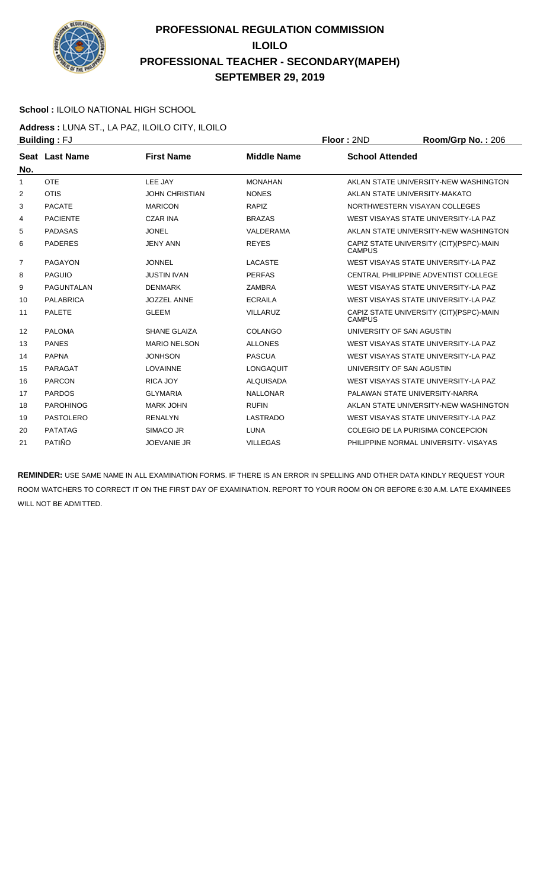

### **School :** ILOILO NATIONAL HIGH SCHOOL

**Address :** LUNA ST., LA PAZ, ILOILO CITY, ILOILO **Building :** FJ **Floor :** 2ND **Room/Grp No. :** 206

| ט ו . מיוועווע<br>שיוג ויטשו |                       |                       |                    |                        |                                          |
|------------------------------|-----------------------|-----------------------|--------------------|------------------------|------------------------------------------|
| No.                          | <b>Seat Last Name</b> | <b>First Name</b>     | <b>Middle Name</b> | <b>School Attended</b> |                                          |
| 1                            | <b>OTE</b>            | LEE JAY               | <b>MONAHAN</b>     |                        | AKLAN STATE UNIVERSITY-NEW WASHINGTON    |
| 2                            | <b>OTIS</b>           | <b>JOHN CHRISTIAN</b> | <b>NONES</b>       |                        | AKLAN STATE UNIVERSITY-MAKATO            |
| 3                            | <b>PACATE</b>         | <b>MARICON</b>        | <b>RAPIZ</b>       |                        | NORTHWESTERN VISAYAN COLLEGES            |
| 4                            | <b>PACIENTE</b>       | <b>CZAR INA</b>       | <b>BRAZAS</b>      |                        | WEST VISAYAS STATE UNIVERSITY-LA PAZ     |
| 5                            | <b>PADASAS</b>        | <b>JONEL</b>          | VALDERAMA          |                        | AKLAN STATE UNIVERSITY-NEW WASHINGTON    |
| 6                            | <b>PADERES</b>        | <b>JENY ANN</b>       | <b>REYES</b>       | <b>CAMPUS</b>          | CAPIZ STATE UNIVERSITY (CIT) (PSPC)-MAIN |
| $\overline{7}$               | <b>PAGAYON</b>        | <b>JONNEL</b>         | <b>LACASTE</b>     |                        | WEST VISAYAS STATE UNIVERSITY-LA PAZ     |
| 8                            | <b>PAGUIO</b>         | <b>JUSTIN IVAN</b>    | <b>PERFAS</b>      |                        | CENTRAL PHILIPPINE ADVENTIST COLLEGE     |
| 9                            | <b>PAGUNTALAN</b>     | <b>DENMARK</b>        | <b>ZAMBRA</b>      |                        | WEST VISAYAS STATE UNIVERSITY-LA PAZ     |
| 10                           | <b>PALABRICA</b>      | <b>JOZZEL ANNE</b>    | <b>ECRAILA</b>     |                        | WEST VISAYAS STATE UNIVERSITY-LA PAZ     |
| 11                           | <b>PALETE</b>         | <b>GLEEM</b>          | <b>VILLARUZ</b>    | <b>CAMPUS</b>          | CAPIZ STATE UNIVERSITY (CIT)(PSPC)-MAIN  |
| 12                           | <b>PALOMA</b>         | <b>SHANE GLAIZA</b>   | COLANGO            |                        | UNIVERSITY OF SAN AGUSTIN                |
| 13                           | <b>PANES</b>          | <b>MARIO NELSON</b>   | <b>ALLONES</b>     |                        | WEST VISAYAS STATE UNIVERSITY-LA PAZ     |
| 14                           | <b>PAPNA</b>          | <b>JONHSON</b>        | <b>PASCUA</b>      |                        | WEST VISAYAS STATE UNIVERSITY-LA PAZ     |
| 15                           | PARAGAT               | <b>LOVAINNE</b>       | <b>LONGAQUIT</b>   |                        | UNIVERSITY OF SAN AGUSTIN                |
| 16                           | <b>PARCON</b>         | RICA JOY              | <b>ALQUISADA</b>   |                        | WEST VISAYAS STATE UNIVERSITY-LA PAZ     |
| 17                           | <b>PARDOS</b>         | <b>GLYMARIA</b>       | <b>NALLONAR</b>    |                        | PALAWAN STATE UNIVERSITY-NARRA           |
| 18                           | <b>PAROHINOG</b>      | <b>MARK JOHN</b>      | <b>RUFIN</b>       |                        | AKLAN STATE UNIVERSITY-NEW WASHINGTON    |
| 19                           | <b>PASTOLERO</b>      | <b>RENALYN</b>        | <b>LASTRADO</b>    |                        | WEST VISAYAS STATE UNIVERSITY-LA PAZ     |
| 20                           | <b>PATATAG</b>        | SIMACO JR             | <b>LUNA</b>        |                        | COLEGIO DE LA PURISIMA CONCEPCION        |
| 21                           | PATIÑO                | <b>JOEVANIE JR</b>    | <b>VILLEGAS</b>    |                        | PHILIPPINE NORMAL UNIVERSITY- VISAYAS    |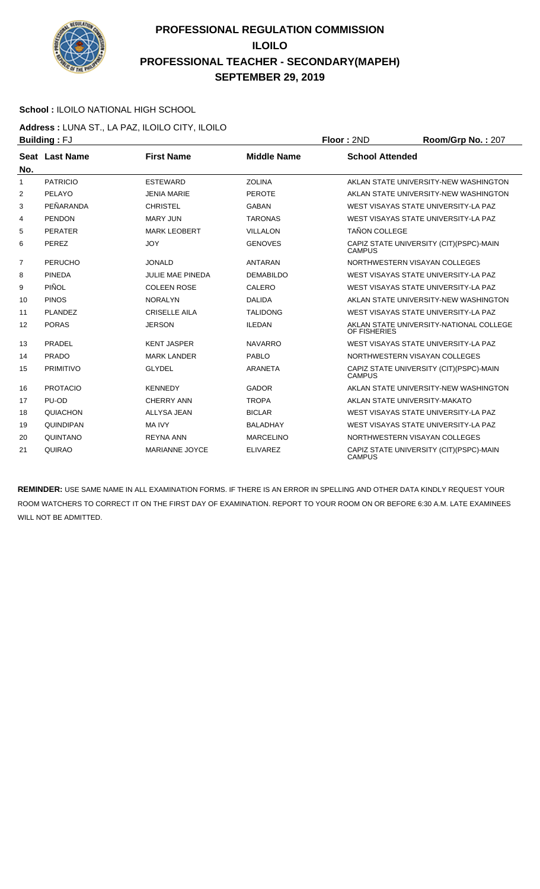

### **School :** ILOILO NATIONAL HIGH SCHOOL

**Address :** LUNA ST., LA PAZ, ILOILO CITY, ILOILO **Building :** FJ **Floor :** 2ND **Room/Grp No. :** 207

|                | ט ו . מיוועווע<br>1 IVVI . ZI IL |                         |                    |                        | 11001111011110111211                     |
|----------------|----------------------------------|-------------------------|--------------------|------------------------|------------------------------------------|
| No.            | Seat Last Name                   | <b>First Name</b>       | <b>Middle Name</b> | <b>School Attended</b> |                                          |
| 1              | <b>PATRICIO</b>                  | <b>ESTEWARD</b>         | <b>ZOLINA</b>      |                        | AKLAN STATE UNIVERSITY-NEW WASHINGTON    |
| 2              | PELAYO                           | <b>JENIA MARIE</b>      | <b>PEROTE</b>      |                        | AKLAN STATE UNIVERSITY-NEW WASHINGTON    |
| 3              | PFÑARANDA                        | <b>CHRISTEL</b>         | <b>GABAN</b>       |                        | WEST VISAYAS STATE UNIVERSITY-LA PAZ     |
| 4              | <b>PENDON</b>                    | <b>MARY JUN</b>         | <b>TARONAS</b>     |                        | WEST VISAYAS STATE UNIVERSITY-LA PAZ     |
| 5              | <b>PERATER</b>                   | <b>MARK LEOBERT</b>     | <b>VILLALON</b>    | <b>TAÑON COLLEGE</b>   |                                          |
| 6              | <b>PEREZ</b>                     | <b>JOY</b>              | <b>GENOVES</b>     | <b>CAMPUS</b>          | CAPIZ STATE UNIVERSITY (CIT) (PSPC)-MAIN |
| $\overline{7}$ | <b>PERUCHO</b>                   | <b>JONALD</b>           | <b>ANTARAN</b>     |                        | NORTHWESTERN VISAYAN COLLEGES            |
| 8              | <b>PINEDA</b>                    | <b>JULIE MAE PINEDA</b> | <b>DEMABILDO</b>   |                        | WEST VISAYAS STATE UNIVERSITY-LA PAZ     |
| 9              | PIÑOL                            | <b>COLEEN ROSE</b>      | CALERO             |                        | WEST VISAYAS STATE UNIVERSITY-LA PAZ     |
| 10             | <b>PINOS</b>                     | <b>NORALYN</b>          | <b>DALIDA</b>      |                        | AKLAN STATE UNIVERSITY-NEW WASHINGTON    |
| 11             | PLANDEZ                          | <b>CRISELLE AILA</b>    | <b>TALIDONG</b>    |                        | WEST VISAYAS STATE UNIVERSITY-LA PAZ     |
| 12             | <b>PORAS</b>                     | <b>JERSON</b>           | <b>ILEDAN</b>      | OF FISHERIES           | AKLAN STATE UNIVERSITY-NATIONAL COLLEGE  |
| 13             | PRADEL                           | <b>KENT JASPER</b>      | <b>NAVARRO</b>     |                        | WEST VISAYAS STATE UNIVERSITY-LA PAZ     |
| 14             | <b>PRADO</b>                     | <b>MARK LANDER</b>      | <b>PABLO</b>       |                        | NORTHWESTERN VISAYAN COLLEGES            |
| 15             | <b>PRIMITIVO</b>                 | <b>GLYDEL</b>           | ARANETA            | <b>CAMPUS</b>          | CAPIZ STATE UNIVERSITY (CIT) (PSPC)-MAIN |
| 16             | <b>PROTACIO</b>                  | <b>KENNEDY</b>          | <b>GADOR</b>       |                        | AKLAN STATE UNIVERSITY-NEW WASHINGTON    |
| 17             | PU-OD                            | <b>CHERRY ANN</b>       | <b>TROPA</b>       |                        | AKLAN STATE UNIVERSITY-MAKATO            |
| 18             | <b>QUIACHON</b>                  | <b>ALLYSA JEAN</b>      | <b>BICLAR</b>      |                        | WEST VISAYAS STATE UNIVERSITY-LA PAZ     |
| 19             | <b>QUINDIPAN</b>                 | <b>MA IVY</b>           | <b>BALADHAY</b>    |                        | WEST VISAYAS STATE UNIVERSITY-LA PAZ     |
| 20             | QUINTANO                         | <b>REYNA ANN</b>        | <b>MARCELINO</b>   |                        | NORTHWESTERN VISAYAN COLLEGES            |
| 21             | QUIRAO                           | <b>MARIANNE JOYCE</b>   | <b>ELIVAREZ</b>    | <b>CAMPUS</b>          | CAPIZ STATE UNIVERSITY (CIT) (PSPC)-MAIN |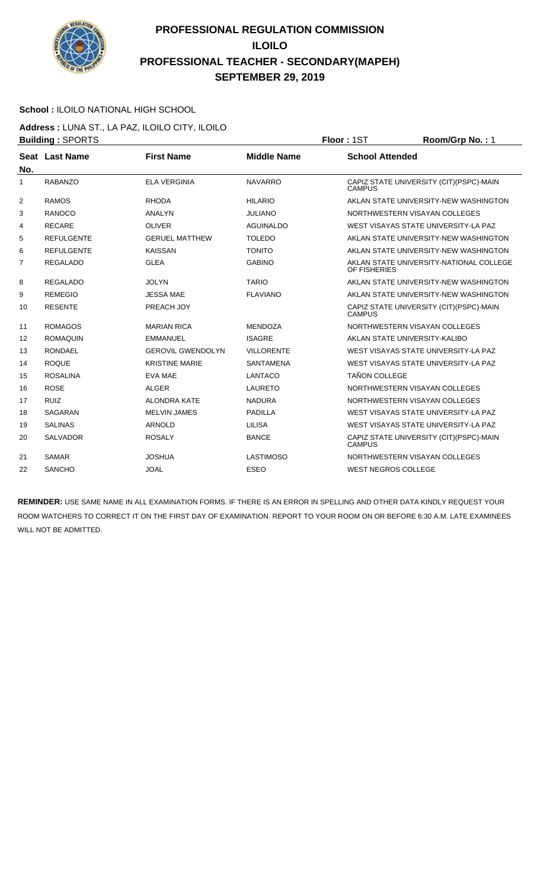

#### **School :** ILOILO NATIONAL HIGH SCHOOL

**Address :** LUNA ST., LA PAZ, ILOILO CITY, ILOILO **Building : SPORTS Floor : 1ST Room/Grp No. : 1** 

|                | Pananig . UI UITIU |                          |                    | .                                                         |
|----------------|--------------------|--------------------------|--------------------|-----------------------------------------------------------|
| No.            | Seat Last Name     | <b>First Name</b>        | <b>Middle Name</b> | <b>School Attended</b>                                    |
| 1              | <b>RABANZO</b>     | <b>ELA VERGINIA</b>      | <b>NAVARRO</b>     | CAPIZ STATE UNIVERSITY (CIT) (PSPC)-MAIN<br><b>CAMPUS</b> |
| $\overline{2}$ | <b>RAMOS</b>       | <b>RHODA</b>             | <b>HILARIO</b>     | AKLAN STATE UNIVERSITY-NEW WASHINGTON                     |
| 3              | <b>RANOCO</b>      | <b>ANALYN</b>            | <b>JULIANO</b>     | NORTHWESTERN VISAYAN COLLEGES                             |
| 4              | <b>RECARE</b>      | <b>OLIVER</b>            | <b>AGUINALDO</b>   | WEST VISAYAS STATE UNIVERSITY-LA PAZ                      |
| 5              | <b>REFULGENTE</b>  | <b>GERUEL MATTHEW</b>    | <b>TOLEDO</b>      | AKLAN STATE UNIVERSITY-NEW WASHINGTON                     |
| 6              | <b>REFULGENTE</b>  | <b>KAISSAN</b>           | <b>TONITO</b>      | AKLAN STATE UNIVERSITY-NEW WASHINGTON                     |
| $\overline{7}$ | <b>REGALADO</b>    | <b>GLEA</b>              | <b>GABINO</b>      | AKLAN STATE UNIVERSITY-NATIONAL COLLEGE<br>OF FISHERIES   |
| 8              | <b>REGALADO</b>    | <b>JOLYN</b>             | <b>TARIO</b>       | AKLAN STATE UNIVERSITY-NEW WASHINGTON                     |
| 9              | <b>REMEGIO</b>     | <b>JESSA MAE</b>         | <b>FLAVIANO</b>    | AKLAN STATE UNIVERSITY-NEW WASHINGTON                     |
| 10             | <b>RESENTE</b>     | PREACH JOY               |                    | CAPIZ STATE UNIVERSITY (CIT) (PSPC)-MAIN<br><b>CAMPUS</b> |
| 11             | <b>ROMAGOS</b>     | <b>MARIAN RICA</b>       | <b>MENDOZA</b>     | NORTHWESTERN VISAYAN COLLEGES                             |
| 12             | <b>ROMAQUIN</b>    | <b>EMMANUEL</b>          | <b>ISAGRE</b>      | AKLAN STATE UNIVERSITY-KALIBO                             |
| 13             | <b>RONDAEL</b>     | <b>GEROVIL GWENDOLYN</b> | <b>VILLORENTE</b>  | WEST VISAYAS STATE UNIVERSITY-LA PAZ                      |
| 14             | <b>ROQUE</b>       | <b>KRISTINE MARIE</b>    | <b>SANTAMENA</b>   | WEST VISAYAS STATE UNIVERSITY-LA PAZ                      |
| 15             | <b>ROSALINA</b>    | <b>EVA MAE</b>           | LANTACO            | <b>TAÑON COLLEGE</b>                                      |
| 16             | <b>ROSE</b>        | <b>ALGER</b>             | <b>LAURETO</b>     | NORTHWESTERN VISAYAN COLLEGES                             |
| 17             | <b>RUIZ</b>        | <b>ALONDRA KATE</b>      | <b>NADURA</b>      | NORTHWESTERN VISAYAN COLLEGES                             |
| 18             | <b>SAGARAN</b>     | <b>MELVIN JAMES</b>      | <b>PADILLA</b>     | WEST VISAYAS STATE UNIVERSITY-LA PAZ                      |
| 19             | <b>SALINAS</b>     | <b>ARNOLD</b>            | <b>LILISA</b>      | WEST VISAYAS STATE UNIVERSITY-LA PAZ                      |
| 20             | <b>SALVADOR</b>    | <b>ROSALY</b>            | <b>BANCE</b>       | CAPIZ STATE UNIVERSITY (CIT) (PSPC)-MAIN<br><b>CAMPUS</b> |
| 21             | <b>SAMAR</b>       | <b>JOSHUA</b>            | <b>LASTIMOSO</b>   | NORTHWESTERN VISAYAN COLLEGES                             |
| 22             | <b>SANCHO</b>      | <b>JOAL</b>              | <b>ESEO</b>        | <b>WEST NEGROS COLLEGE</b>                                |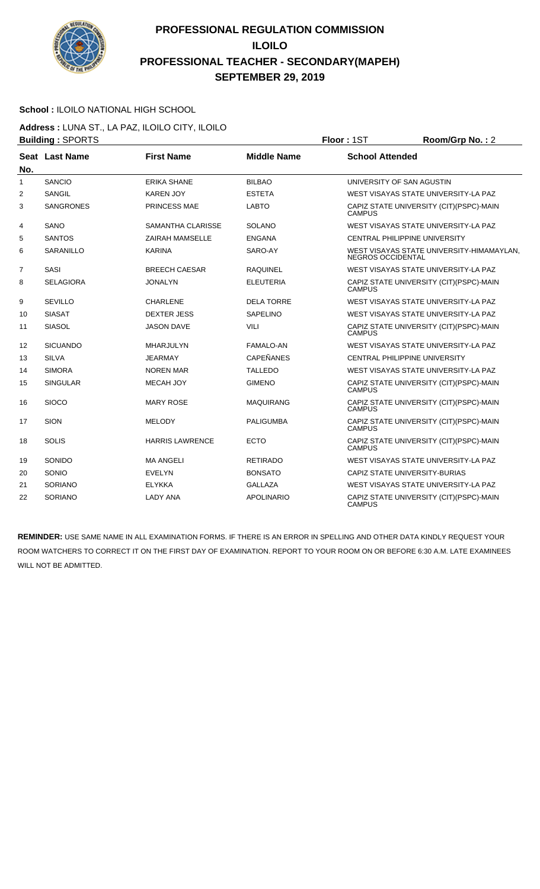

#### **School :** ILOILO NATIONAL HIGH SCHOOL

**Address :** LUNA ST., LA PAZ, ILOILO CITY, ILOILO **Building : SPORTS Floor : 1ST Room/Grp No. : 2** 

| No.            | Seat Last Name   | <b>First Name</b>      | <b>Middle Name</b> | <b>School Attended</b>                                         |
|----------------|------------------|------------------------|--------------------|----------------------------------------------------------------|
| $\mathbf{1}$   | <b>SANCIO</b>    | <b>ERIKA SHANE</b>     | <b>BILBAO</b>      | UNIVERSITY OF SAN AGUSTIN                                      |
| 2              | <b>SANGIL</b>    | <b>KAREN JOY</b>       | <b>ESTETA</b>      | WEST VISAYAS STATE UNIVERSITY-LA PAZ                           |
| 3              | <b>SANGRONES</b> | PRINCESS MAE           | <b>LABTO</b>       | CAPIZ STATE UNIVERSITY (CIT) (PSPC)-MAIN<br><b>CAMPUS</b>      |
| 4              | SANO             | SAMANTHA CLARISSE      | <b>SOLANO</b>      | WEST VISAYAS STATE UNIVERSITY-LA PAZ                           |
| 5              | <b>SANTOS</b>    | <b>ZAIRAH MAMSELLE</b> | <b>ENGANA</b>      | <b>CENTRAL PHILIPPINE UNIVERSITY</b>                           |
| 6              | <b>SARANILLO</b> | <b>KARINA</b>          | SARO-AY            | WEST VISAYAS STATE UNIVERSITY-HIMAMAYLAN,<br>NEGROS OCCIDENTAL |
| $\overline{7}$ | SASI             | <b>BREECH CAESAR</b>   | <b>RAQUINEL</b>    | WEST VISAYAS STATE UNIVERSITY-LA PAZ                           |
| 8              | <b>SELAGIORA</b> | <b>JONALYN</b>         | <b>ELEUTERIA</b>   | CAPIZ STATE UNIVERSITY (CIT) (PSPC)-MAIN<br><b>CAMPUS</b>      |
| 9              | <b>SEVILLO</b>   | <b>CHARLENE</b>        | <b>DELA TORRE</b>  | WEST VISAYAS STATE UNIVERSITY-LA PAZ                           |
| 10             | <b>SIASAT</b>    | <b>DEXTER JESS</b>     | <b>SAPELINO</b>    | WEST VISAYAS STATE UNIVERSITY-LA PAZ                           |
| 11             | <b>SIASOL</b>    | <b>JASON DAVE</b>      | <b>VILI</b>        | CAPIZ STATE UNIVERSITY (CIT)(PSPC)-MAIN<br><b>CAMPUS</b>       |
| 12             | <b>SICUANDO</b>  | MHARJULYN              | FAMALO-AN          | WEST VISAYAS STATE UNIVERSITY-LA PAZ                           |
| 13             | <b>SILVA</b>     | <b>JEARMAY</b>         | <b>CAPEÑANES</b>   | <b>CENTRAL PHILIPPINE UNIVERSITY</b>                           |
| 14             | <b>SIMORA</b>    | <b>NOREN MAR</b>       | <b>TALLEDO</b>     | WEST VISAYAS STATE UNIVERSITY-LA PAZ                           |
| 15             | <b>SINGULAR</b>  | <b>MECAH JOY</b>       | <b>GIMENO</b>      | CAPIZ STATE UNIVERSITY (CIT) (PSPC)-MAIN<br><b>CAMPUS</b>      |
| 16             | <b>SIOCO</b>     | <b>MARY ROSE</b>       | <b>MAQUIRANG</b>   | CAPIZ STATE UNIVERSITY (CIT) (PSPC)-MAIN<br><b>CAMPUS</b>      |
| 17             | <b>SION</b>      | <b>MELODY</b>          | <b>PALIGUMBA</b>   | CAPIZ STATE UNIVERSITY (CIT) (PSPC)-MAIN<br><b>CAMPUS</b>      |
| 18             | <b>SOLIS</b>     | <b>HARRIS LAWRENCE</b> | <b>ECTO</b>        | CAPIZ STATE UNIVERSITY (CIT) (PSPC)-MAIN<br><b>CAMPUS</b>      |
| 19             | SONIDO           | <b>MA ANGELI</b>       | <b>RETIRADO</b>    | WEST VISAYAS STATE UNIVERSITY-LA PAZ                           |
| 20             | SONIO            | <b>EVELYN</b>          | <b>BONSATO</b>     | CAPIZ STATE UNIVERSITY-BURIAS                                  |
| 21             | <b>SORIANO</b>   | <b>ELYKKA</b>          | <b>GALLAZA</b>     | WEST VISAYAS STATE UNIVERSITY-LA PAZ                           |
| 22             | <b>SORIANO</b>   | <b>LADY ANA</b>        | <b>APOLINARIO</b>  | CAPIZ STATE UNIVERSITY (CIT)(PSPC)-MAIN<br><b>CAMPUS</b>       |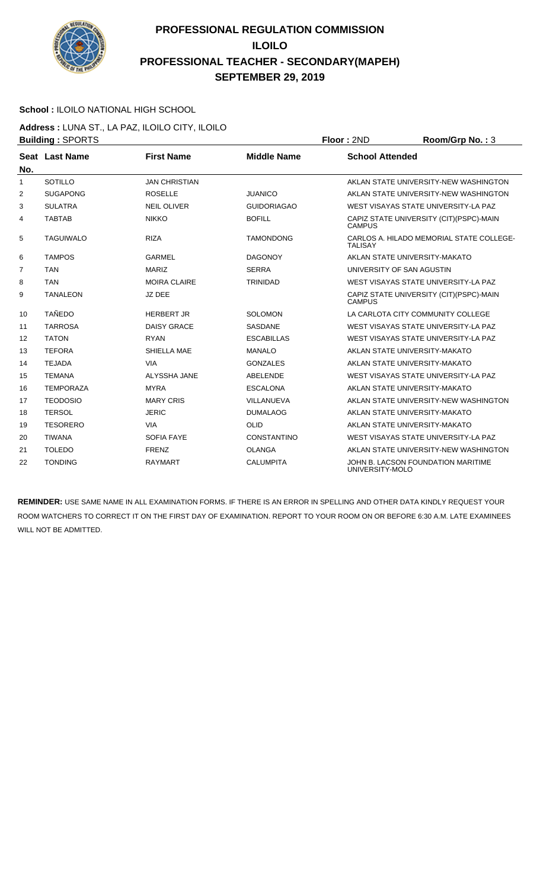

#### **School :** ILOILO NATIONAL HIGH SCHOOL

**Address :** LUNA ST., LA PAZ, ILOILO CITY, ILOILO **Building : SPORTS Floor : 2ND Room/Grp No. : 3** 

|                | Pananig . Or Orvi O |                      |                    | .<br>1100111101101101                                      |
|----------------|---------------------|----------------------|--------------------|------------------------------------------------------------|
| No.            | Seat Last Name      | <b>First Name</b>    | <b>Middle Name</b> | <b>School Attended</b>                                     |
| 1              | SOTILLO             | <b>JAN CHRISTIAN</b> |                    | AKLAN STATE UNIVERSITY-NEW WASHINGTON                      |
| 2              | <b>SUGAPONG</b>     | <b>ROSELLE</b>       | <b>JUANICO</b>     | AKLAN STATE UNIVERSITY-NEW WASHINGTON                      |
| 3              | <b>SULATRA</b>      | <b>NEIL OLIVER</b>   | <b>GUIDORIAGAO</b> | WEST VISAYAS STATE UNIVERSITY-LA PAZ                       |
| 4              | <b>TABTAB</b>       | <b>NIKKO</b>         | <b>BOFILL</b>      | CAPIZ STATE UNIVERSITY (CIT) (PSPC)-MAIN<br><b>CAMPUS</b>  |
| 5              | <b>TAGUIWALO</b>    | <b>RIZA</b>          | <b>TAMONDONG</b>   | CARLOS A. HILADO MEMORIAL STATE COLLEGE-<br><b>TALISAY</b> |
| 6              | <b>TAMPOS</b>       | <b>GARMEL</b>        | <b>DAGONOY</b>     | AKLAN STATE UNIVERSITY-MAKATO                              |
| $\overline{7}$ | <b>TAN</b>          | <b>MARIZ</b>         | <b>SERRA</b>       | UNIVERSITY OF SAN AGUSTIN                                  |
| 8              | <b>TAN</b>          | <b>MOIRA CLAIRE</b>  | <b>TRINIDAD</b>    | WEST VISAYAS STATE UNIVERSITY-LA PAZ                       |
| 9              | <b>TANALEON</b>     | JZ DEE               |                    | CAPIZ STATE UNIVERSITY (CIT) (PSPC)-MAIN<br><b>CAMPUS</b>  |
| 10             | <b>TAÑEDO</b>       | <b>HERBERT JR</b>    | <b>SOLOMON</b>     | LA CARLOTA CITY COMMUNITY COLLEGE                          |
| 11             | <b>TARROSA</b>      | <b>DAISY GRACE</b>   | <b>SASDANE</b>     | WEST VISAYAS STATE UNIVERSITY-LA PAZ                       |
| 12             | <b>TATON</b>        | <b>RYAN</b>          | <b>ESCABILLAS</b>  | WEST VISAYAS STATE UNIVERSITY-LA PAZ                       |
| 13             | <b>TEFORA</b>       | SHIELLA MAE          | <b>MANALO</b>      | AKLAN STATE UNIVERSITY-MAKATO                              |
| 14             | <b>TEJADA</b>       | <b>VIA</b>           | <b>GONZALES</b>    | AKLAN STATE UNIVERSITY-MAKATO                              |
| 15             | <b>TEMANA</b>       | ALYSSHA JANE         | ABELENDE           | WEST VISAYAS STATE UNIVERSITY-LA PAZ                       |
| 16             | <b>TEMPORAZA</b>    | <b>MYRA</b>          | <b>ESCALONA</b>    | AKLAN STATE UNIVERSITY-MAKATO                              |
| 17             | <b>TEODOSIO</b>     | <b>MARY CRIS</b>     | VILLANUEVA         | AKLAN STATE UNIVERSITY-NEW WASHINGTON                      |
| 18             | <b>TERSOL</b>       | <b>JERIC</b>         | <b>DUMALAOG</b>    | AKLAN STATE UNIVERSITY-MAKATO                              |
| 19             | <b>TESORERO</b>     | <b>VIA</b>           | <b>OLID</b>        | AKLAN STATE UNIVERSITY-MAKATO                              |
| 20             | <b>TIWANA</b>       | <b>SOFIA FAYE</b>    | <b>CONSTANTINO</b> | WEST VISAYAS STATE UNIVERSITY-LA PAZ                       |
| 21             | <b>TOLEDO</b>       | <b>FRENZ</b>         | <b>OLANGA</b>      | AKLAN STATE UNIVERSITY-NEW WASHINGTON                      |
| 22             | <b>TONDING</b>      | <b>RAYMART</b>       | <b>CALUMPITA</b>   | JOHN B. LACSON FOUNDATION MARITIME<br>UNIVERSITY-MOLO      |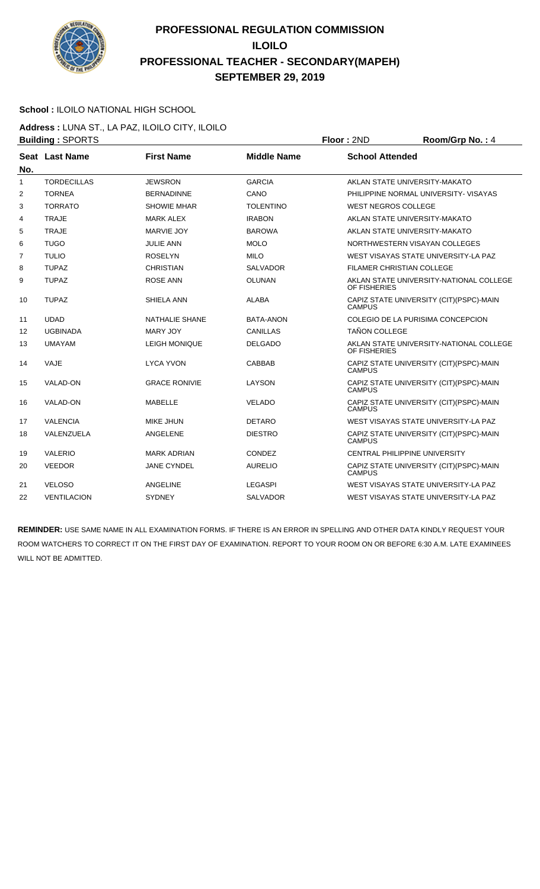

#### **School :** ILOILO NATIONAL HIGH SCHOOL

**Address :** LUNA ST., LA PAZ, ILOILO CITY, ILOILO **Building : SPORTS Floor : 2ND Room/Grp No. : 4** 

|                | ט ועוש וש בשווועווע |                       |                    | .                                                         |
|----------------|---------------------|-----------------------|--------------------|-----------------------------------------------------------|
| No.            | Seat Last Name      | <b>First Name</b>     | <b>Middle Name</b> | <b>School Attended</b>                                    |
| 1              | <b>TORDECILLAS</b>  | <b>JEWSRON</b>        | <b>GARCIA</b>      | AKLAN STATE UNIVERSITY-MAKATO                             |
| $\overline{2}$ | <b>TORNEA</b>       | <b>BERNADINNE</b>     | CANO               | PHILIPPINE NORMAL UNIVERSITY-VISAYAS                      |
| 3              | <b>TORRATO</b>      | <b>SHOWIE MHAR</b>    | <b>TOLENTINO</b>   | <b>WEST NEGROS COLLEGE</b>                                |
| 4              | <b>TRAJE</b>        | <b>MARK ALEX</b>      | <b>IRABON</b>      | AKLAN STATE UNIVERSITY-MAKATO                             |
| 5              | <b>TRAJE</b>        | MARVIE JOY            | <b>BAROWA</b>      | AKLAN STATE UNIVERSITY-MAKATO                             |
| 6              | <b>TUGO</b>         | JULIE ANN             | <b>MOLO</b>        | NORTHWESTERN VISAYAN COLLEGES                             |
| $\overline{7}$ | <b>TULIO</b>        | <b>ROSELYN</b>        | <b>MILO</b>        | WEST VISAYAS STATE UNIVERSITY-LA PAZ                      |
| 8              | <b>TUPAZ</b>        | <b>CHRISTIAN</b>      | <b>SALVADOR</b>    | <b>FILAMER CHRISTIAN COLLEGE</b>                          |
| 9              | <b>TUPAZ</b>        | <b>ROSE ANN</b>       | <b>OLUNAN</b>      | AKLAN STATE UNIVERSITY-NATIONAL COLLEGE<br>OF FISHERIES   |
| 10             | <b>TUPAZ</b>        | SHIELA ANN            | <b>ALABA</b>       | CAPIZ STATE UNIVERSITY (CIT)(PSPC)-MAIN<br><b>CAMPUS</b>  |
| 11             | <b>UDAD</b>         | <b>NATHALIE SHANE</b> | <b>BATA-ANON</b>   | COLEGIO DE LA PURISIMA CONCEPCION                         |
| 12             | <b>UGBINADA</b>     | MARY JOY              | CANILLAS           | <b>TAÑON COLLEGE</b>                                      |
| 13             | <b>UMAYAM</b>       | <b>LEIGH MONIQUE</b>  | <b>DELGADO</b>     | AKLAN STATE UNIVERSITY-NATIONAL COLLEGE<br>OF FISHERIES   |
| 14             | VAJE                | <b>LYCA YVON</b>      | CABBAB             | CAPIZ STATE UNIVERSITY (CIT)(PSPC)-MAIN<br><b>CAMPUS</b>  |
| 15             | VALAD-ON            | <b>GRACE RONIVIE</b>  | LAYSON             | CAPIZ STATE UNIVERSITY (CIT)(PSPC)-MAIN<br><b>CAMPUS</b>  |
| 16             | VALAD-ON            | MABELLE               | <b>VELADO</b>      | CAPIZ STATE UNIVERSITY (CIT) (PSPC)-MAIN<br><b>CAMPUS</b> |
| 17             | <b>VALENCIA</b>     | MIKE JHUN             | <b>DETARO</b>      | WEST VISAYAS STATE UNIVERSITY-LA PAZ                      |
| 18             | VALENZUELA          | ANGELENE              | <b>DIESTRO</b>     | CAPIZ STATE UNIVERSITY (CIT) (PSPC)-MAIN<br><b>CAMPUS</b> |
| 19             | <b>VALERIO</b>      | <b>MARK ADRIAN</b>    | CONDEZ             | <b>CENTRAL PHILIPPINE UNIVERSITY</b>                      |
| 20             | <b>VEEDOR</b>       | <b>JANE CYNDEL</b>    | <b>AURELIO</b>     | CAPIZ STATE UNIVERSITY (CIT) (PSPC)-MAIN<br><b>CAMPUS</b> |
| 21             | <b>VELOSO</b>       | ANGELINE              | <b>LEGASPI</b>     | WEST VISAYAS STATE UNIVERSITY-LA PAZ                      |
| 22             | <b>VENTILACION</b>  | <b>SYDNEY</b>         | <b>SALVADOR</b>    | WEST VISAYAS STATE UNIVERSITY-LA PAZ                      |